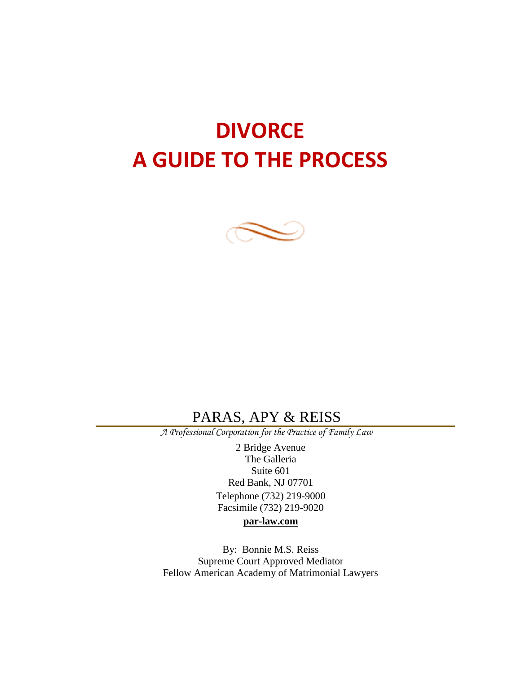# **DIVORCE A GUIDE TO THE PROCESS**



# PARAS, APY & REISS

 *A Professional Corporation for the Practice of Family Law*

2 Bridge Avenue The Galleria Suite 601 Red Bank, NJ 07701 Telephone (732) 219-9000 Facsimile (732) 219-9020

#### **par-law.com**

By: Bonnie M.S. Reiss Supreme Court Approved Mediator Fellow American Academy of Matrimonial Lawyers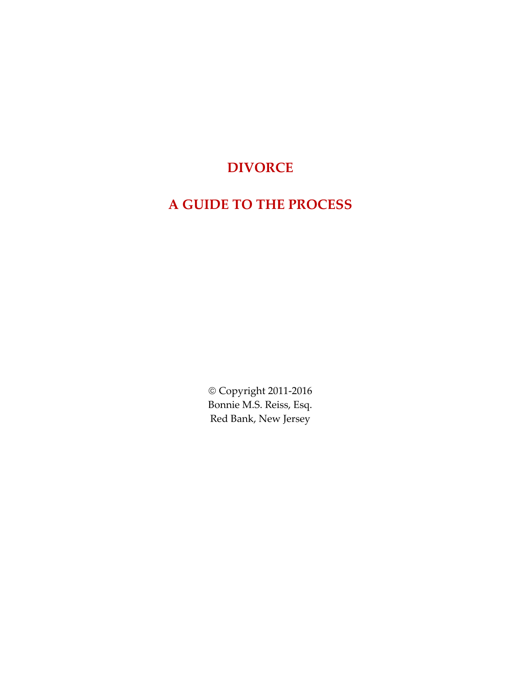# **DIVORCE**

# **A GUIDE TO THE PROCESS**

 Copyright 2011-2016 Bonnie M.S. Reiss, Esq. Red Bank, New Jersey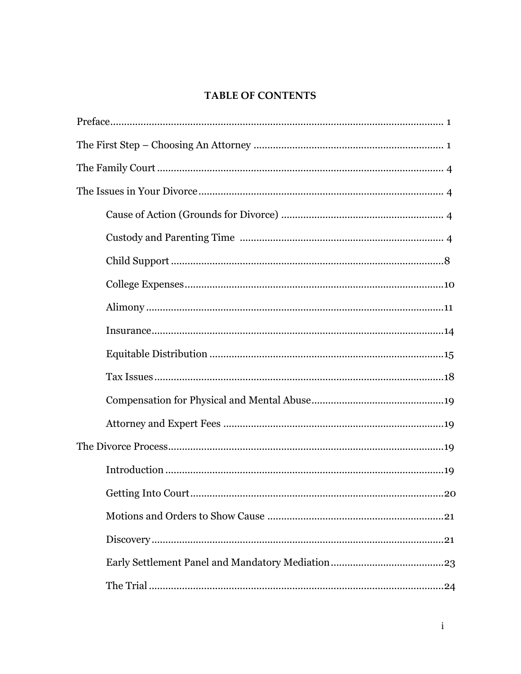# **TABLE OF CONTENTS**

| Getting Into Court<br>20 |
|--------------------------|
|                          |
|                          |
|                          |
|                          |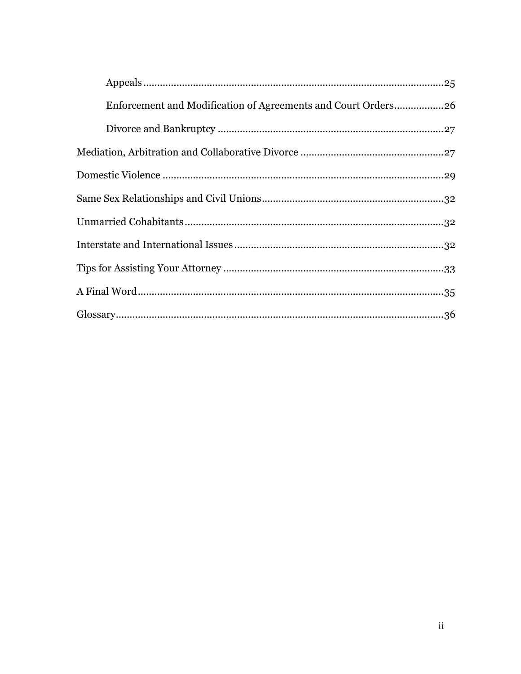| Enforcement and Modification of Agreements and Court Orders26 |
|---------------------------------------------------------------|
|                                                               |
|                                                               |
|                                                               |
|                                                               |
|                                                               |
|                                                               |
|                                                               |
|                                                               |
|                                                               |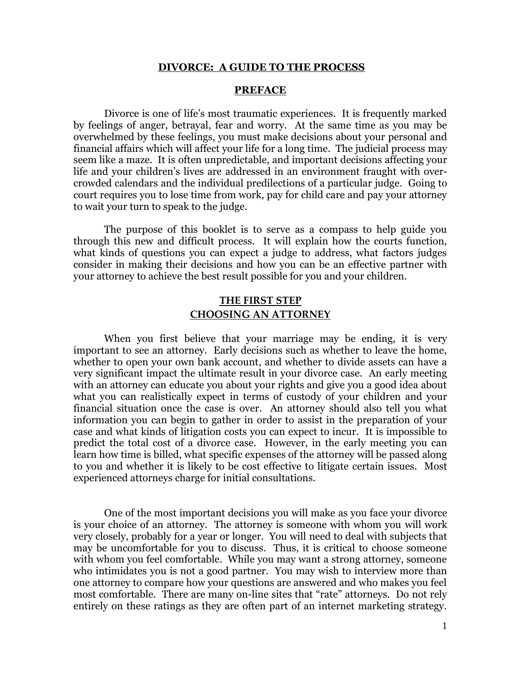#### **DIVORCE: A GUIDE TO THE PROCESS**

#### **PREFACE**

Divorce is one of life's most traumatic experiences. It is frequently marked by feelings of anger, betrayal, fear and worry. At the same time as you may be overwhelmed by these feelings, you must make decisions about your personal and financial affairs which will affect your life for a long time. The judicial process may seem like a maze. It is often unpredictable, and important decisions affecting your life and your children's lives are addressed in an environment fraught with overcrowded calendars and the individual predilections of a particular judge. Going to court requires you to lose time from work, pay for child care and pay your attorney to wait your turn to speak to the judge.

The purpose of this booklet is to serve as a compass to help guide you through this new and difficult process. It will explain how the courts function, what kinds of questions you can expect a judge to address, what factors judges consider in making their decisions and how you can be an effective partner with your attorney to achieve the best result possible for you and your children.

# **THE FIRST STEP CHOOSING AN ATTORNEY**

When you first believe that your marriage may be ending, it is very important to see an attorney. Early decisions such as whether to leave the home, whether to open your own bank account, and whether to divide assets can have a very significant impact the ultimate result in your divorce case. An early meeting with an attorney can educate you about your rights and give you a good idea about what you can realistically expect in terms of custody of your children and your financial situation once the case is over. An attorney should also tell you what information you can begin to gather in order to assist in the preparation of your case and what kinds of litigation costs you can expect to incur. It is impossible to predict the total cost of a divorce case. However, in the early meeting you can learn how time is billed, what specific expenses of the attorney will be passed along to you and whether it is likely to be cost effective to litigate certain issues. Most experienced attorneys charge for initial consultations.

One of the most important decisions you will make as you face your divorce is your choice of an attorney. The attorney is someone with whom you will work very closely, probably for a year or longer. You will need to deal with subjects that may be uncomfortable for you to discuss. Thus, it is critical to choose someone with whom you feel comfortable. While you may want a strong attorney, someone who intimidates you is not a good partner. You may wish to interview more than one attorney to compare how your questions are answered and who makes you feel most comfortable. There are many on-line sites that "rate" attorneys. Do not rely entirely on these ratings as they are often part of an internet marketing strategy.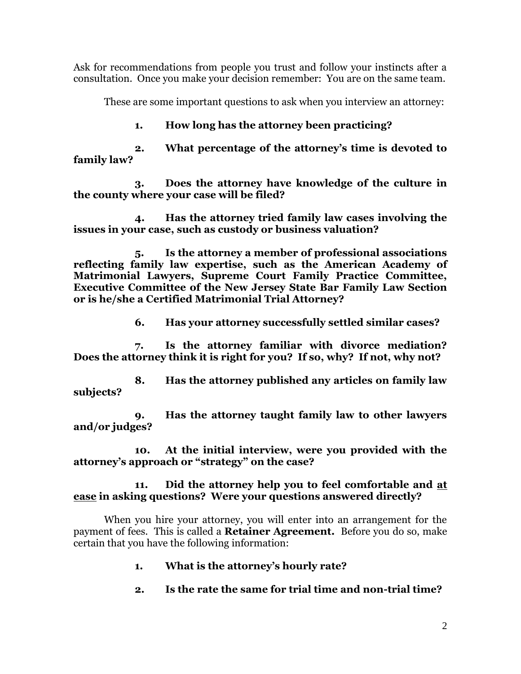Ask for recommendations from people you trust and follow your instincts after a consultation. Once you make your decision remember: You are on the same team.

These are some important questions to ask when you interview an attorney:

# **1. How long has the attorney been practicing?**

**2. What percentage of the attorney's time is devoted to family law?**

**3. Does the attorney have knowledge of the culture in the county where your case will be filed?**

**4. Has the attorney tried family law cases involving the issues in your case, such as custody or business valuation?**

**5. Is the attorney a member of professional associations reflecting family law expertise, such as the American Academy of Matrimonial Lawyers, Supreme Court Family Practice Committee, Executive Committee of the New Jersey State Bar Family Law Section or is he/she a Certified Matrimonial Trial Attorney?**

**6. Has your attorney successfully settled similar cases?**

**7. Is the attorney familiar with divorce mediation? Does the attorney think it is right for you? If so, why? If not, why not?**

**8. Has the attorney published any articles on family law subjects?**

**9. Has the attorney taught family law to other lawyers and/or judges?**

**10. At the initial interview, were you provided with the attorney's approach or "strategy" on the case?**

# **11. Did the attorney help you to feel comfortable and at ease in asking questions? Were your questions answered directly?**

When you hire your attorney, you will enter into an arrangement for the payment of fees. This is called a **Retainer Agreement.** Before you do so, make certain that you have the following information:

- **1. What is the attorney's hourly rate?**
- **2. Is the rate the same for trial time and non-trial time?**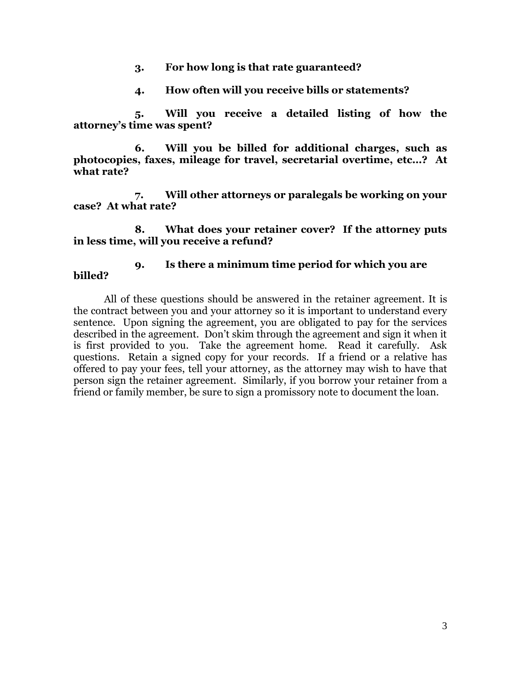- **3. For how long is that rate guaranteed?**
- **4. How often will you receive bills or statements?**

**5. Will you receive a detailed listing of how the attorney's time was spent?**

**6. Will you be billed for additional charges, such as photocopies, faxes, mileage for travel, secretarial overtime, etc…? At what rate?**

**7. Will other attorneys or paralegals be working on your case? At what rate?**

**8. What does your retainer cover? If the attorney puts in less time, will you receive a refund?**

# **9. Is there a minimum time period for which you are billed?**

All of these questions should be answered in the retainer agreement. It is the contract between you and your attorney so it is important to understand every sentence. Upon signing the agreement, you are obligated to pay for the services described in the agreement. Don't skim through the agreement and sign it when it is first provided to you. Take the agreement home. Read it carefully. Ask questions. Retain a signed copy for your records. If a friend or a relative has offered to pay your fees, tell your attorney, as the attorney may wish to have that person sign the retainer agreement. Similarly, if you borrow your retainer from a friend or family member, be sure to sign a promissory note to document the loan.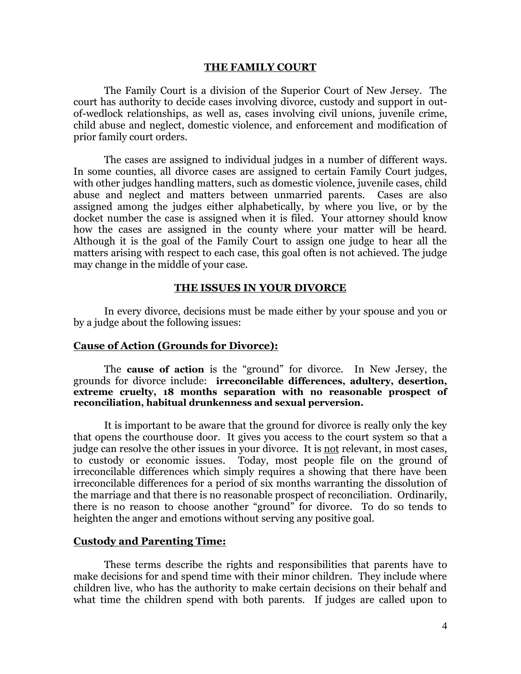#### **THE FAMILY COURT**

The Family Court is a division of the Superior Court of New Jersey. The court has authority to decide cases involving divorce, custody and support in outof-wedlock relationships, as well as, cases involving civil unions, juvenile crime, child abuse and neglect, domestic violence, and enforcement and modification of prior family court orders.

The cases are assigned to individual judges in a number of different ways. In some counties, all divorce cases are assigned to certain Family Court judges, with other judges handling matters, such as domestic violence, juvenile cases, child abuse and neglect and matters between unmarried parents. Cases are also assigned among the judges either alphabetically, by where you live, or by the docket number the case is assigned when it is filed. Your attorney should know how the cases are assigned in the county where your matter will be heard. Although it is the goal of the Family Court to assign one judge to hear all the matters arising with respect to each case, this goal often is not achieved. The judge may change in the middle of your case.

#### **THE ISSUES IN YOUR DIVORCE**

In every divorce, decisions must be made either by your spouse and you or by a judge about the following issues:

## **Cause of Action (Grounds for Divorce):**

The **cause of action** is the "ground" for divorce. In New Jersey, the grounds for divorce include: **irreconcilable differences, adultery, desertion, extreme cruelty, 18 months separation with no reasonable prospect of reconciliation, habitual drunkenness and sexual perversion.**

It is important to be aware that the ground for divorce is really only the key that opens the courthouse door. It gives you access to the court system so that a judge can resolve the other issues in your divorce. It is not relevant, in most cases, to custody or economic issues. Today, most people file on the ground of irreconcilable differences which simply requires a showing that there have been irreconcilable differences for a period of six months warranting the dissolution of the marriage and that there is no reasonable prospect of reconciliation. Ordinarily, there is no reason to choose another "ground" for divorce. To do so tends to heighten the anger and emotions without serving any positive goal.

#### **Custody and Parenting Time:**

These terms describe the rights and responsibilities that parents have to make decisions for and spend time with their minor children. They include where children live, who has the authority to make certain decisions on their behalf and what time the children spend with both parents. If judges are called upon to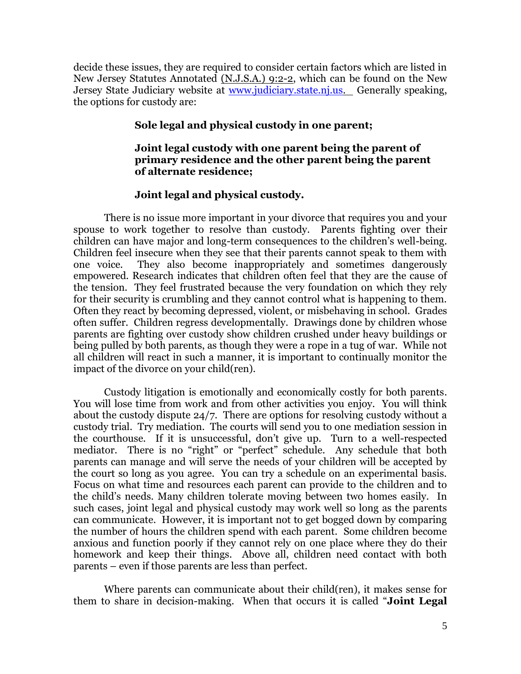decide these issues, they are required to consider certain factors which are listed in New Jersey Statutes Annotated (N.J.S.A.) 9:2-2, which can be found on the New Jersey State Judiciary website at [www.judiciary.state.nj.us.](http://www.judiciary.state.nj.us/) Generally speaking, the options for custody are:

# **Sole legal and physical custody in one parent;**

# **Joint legal custody with one parent being the parent of primary residence and the other parent being the parent of alternate residence;**

#### **Joint legal and physical custody.**

There is no issue more important in your divorce that requires you and your spouse to work together to resolve than custody. Parents fighting over their children can have major and long-term consequences to the children's well-being. Children feel insecure when they see that their parents cannot speak to them with one voice. They also become inappropriately and sometimes dangerously empowered. Research indicates that children often feel that they are the cause of the tension. They feel frustrated because the very foundation on which they rely for their security is crumbling and they cannot control what is happening to them. Often they react by becoming depressed, violent, or misbehaving in school. Grades often suffer. Children regress developmentally. Drawings done by children whose parents are fighting over custody show children crushed under heavy buildings or being pulled by both parents, as though they were a rope in a tug of war. While not all children will react in such a manner, it is important to continually monitor the impact of the divorce on your child(ren).

Custody litigation is emotionally and economically costly for both parents. You will lose time from work and from other activities you enjoy. You will think about the custody dispute 24/7. There are options for resolving custody without a custody trial. Try mediation. The courts will send you to one mediation session in the courthouse. If it is unsuccessful, don't give up. Turn to a well-respected mediator. There is no "right" or "perfect" schedule. Any schedule that both parents can manage and will serve the needs of your children will be accepted by the court so long as you agree. You can try a schedule on an experimental basis. Focus on what time and resources each parent can provide to the children and to the child's needs. Many children tolerate moving between two homes easily. In such cases, joint legal and physical custody may work well so long as the parents can communicate. However, it is important not to get bogged down by comparing the number of hours the children spend with each parent. Some children become anxious and function poorly if they cannot rely on one place where they do their homework and keep their things. Above all, children need contact with both parents – even if those parents are less than perfect.

Where parents can communicate about their child(ren), it makes sense for them to share in decision-making. When that occurs it is called "**Joint Legal**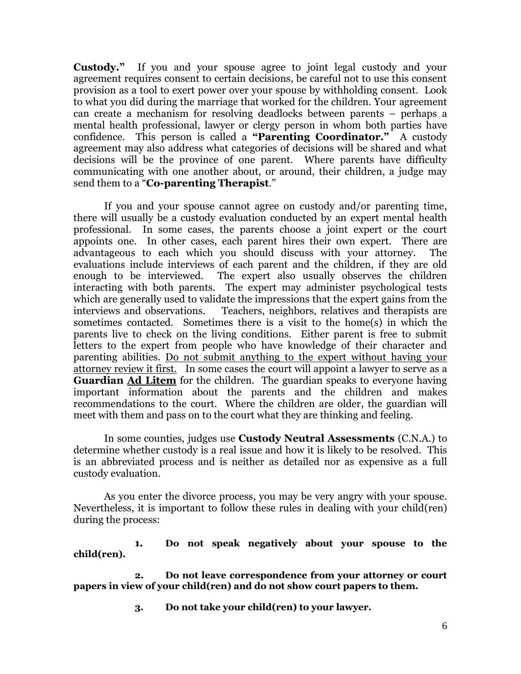**Custody."** If you and your spouse agree to joint legal custody and your agreement requires consent to certain decisions, be careful not to use this consent provision as a tool to exert power over your spouse by withholding consent. Look to what you did during the marriage that worked for the children. Your agreement can create a mechanism for resolving deadlocks between parents – perhaps a mental health professional, lawyer or clergy person in whom both parties have confidence. This person is called a **"Parenting Coordinator."** A custody agreement may also address what categories of decisions will be shared and what decisions will be the province of one parent. Where parents have difficulty communicating with one another about, or around, their children, a judge may send them to a "**Co-parenting Therapist**."

If you and your spouse cannot agree on custody and/or parenting time, there will usually be a custody evaluation conducted by an expert mental health professional. In some cases, the parents choose a joint expert or the court appoints one. In other cases, each parent hires their own expert. There are advantageous to each which you should discuss with your attorney. The evaluations include interviews of each parent and the children, if they are old enough to be interviewed. The expert also usually observes the children interacting with both parents. The expert may administer psychological tests which are generally used to validate the impressions that the expert gains from the interviews and observations. Teachers, neighbors, relatives and therapists are sometimes contacted. Sometimes there is a visit to the home(s) in which the parents live to check on the living conditions. Either parent is free to submit letters to the expert from people who have knowledge of their character and parenting abilities. Do not submit anything to the expert without having your attorney review it first. In some cases the court will appoint a lawyer to serve as a **Guardian Ad Litem** for the children. The guardian speaks to everyone having important information about the parents and the children and makes recommendations to the court. Where the children are older, the guardian will meet with them and pass on to the court what they are thinking and feeling.

In some counties, judges use **Custody Neutral Assessments** (C.N.A.) to determine whether custody is a real issue and how it is likely to be resolved. This is an abbreviated process and is neither as detailed nor as expensive as a full custody evaluation.

As you enter the divorce process, you may be very angry with your spouse. Nevertheless, it is important to follow these rules in dealing with your child(ren) during the process:

**1. Do not speak negatively about your spouse to the child(ren).**

**2. Do not leave correspondence from your attorney or court papers in view of your child(ren) and do not show court papers to them.**

**3. Do not take your child(ren) to your lawyer.**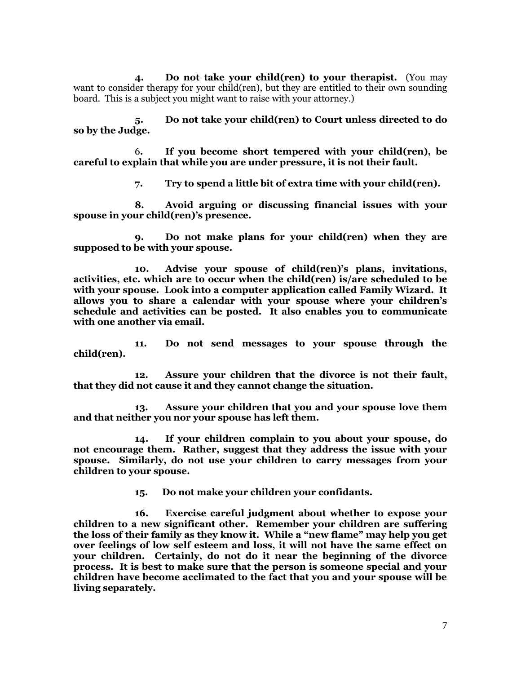**4. Do not take your child(ren) to your therapist.** (You may want to consider therapy for your child(ren), but they are entitled to their own sounding board. This is a subject you might want to raise with your attorney.)

**5. Do not take your child(ren) to Court unless directed to do so by the Judge.**

6**. If you become short tempered with your child(ren), be careful to explain that while you are under pressure, it is not their fault.**

**7. Try to spend a little bit of extra time with your child(ren).**

**8. Avoid arguing or discussing financial issues with your spouse in your child(ren)'s presence.**

**9. Do not make plans for your child(ren) when they are supposed to be with your spouse.**

**10. Advise your spouse of child(ren)'s plans, invitations, activities, etc. which are to occur when the child(ren) is/are scheduled to be with your spouse. Look into a computer application called Family Wizard. It allows you to share a calendar with your spouse where your children's schedule and activities can be posted. It also enables you to communicate with one another via email.**

**11. Do not send messages to your spouse through the child(ren).**

**12. Assure your children that the divorce is not their fault, that they did not cause it and they cannot change the situation.**

**13. Assure your children that you and your spouse love them and that neither you nor your spouse has left them.**

**14. If your children complain to you about your spouse, do not encourage them. Rather, suggest that they address the issue with your spouse. Similarly, do not use your children to carry messages from your children to your spouse.** 

**15. Do not make your children your confidants.** 

**16. Exercise careful judgment about whether to expose your children to a new significant other. Remember your children are suffering the loss of their family as they know it. While a "new flame" may help you get over feelings of low self esteem and loss, it will not have the same effect on your children. Certainly, do not do it near the beginning of the divorce process. It is best to make sure that the person is someone special and your children have become acclimated to the fact that you and your spouse will be living separately.**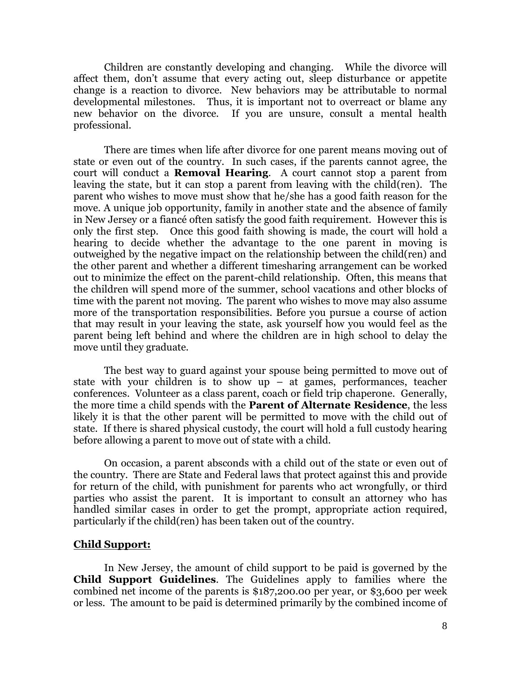Children are constantly developing and changing. While the divorce will affect them, don't assume that every acting out, sleep disturbance or appetite change is a reaction to divorce. New behaviors may be attributable to normal developmental milestones. Thus, it is important not to overreact or blame any new behavior on the divorce. If you are unsure, consult a mental health professional.

There are times when life after divorce for one parent means moving out of state or even out of the country. In such cases, if the parents cannot agree, the court will conduct a **Removal Hearing**. A court cannot stop a parent from leaving the state, but it can stop a parent from leaving with the child(ren). The parent who wishes to move must show that he/she has a good faith reason for the move. A unique job opportunity, family in another state and the absence of family in New Jersey or a fiancé often satisfy the good faith requirement. However this is only the first step. Once this good faith showing is made, the court will hold a hearing to decide whether the advantage to the one parent in moving is outweighed by the negative impact on the relationship between the child(ren) and the other parent and whether a different timesharing arrangement can be worked out to minimize the effect on the parent-child relationship. Often, this means that the children will spend more of the summer, school vacations and other blocks of time with the parent not moving. The parent who wishes to move may also assume more of the transportation responsibilities. Before you pursue a course of action that may result in your leaving the state, ask yourself how you would feel as the parent being left behind and where the children are in high school to delay the move until they graduate.

The best way to guard against your spouse being permitted to move out of state with your children is to show up – at games, performances, teacher conferences. Volunteer as a class parent, coach or field trip chaperone. Generally, the more time a child spends with the **Parent of Alternate Residence**, the less likely it is that the other parent will be permitted to move with the child out of state. If there is shared physical custody, the court will hold a full custody hearing before allowing a parent to move out of state with a child.

On occasion, a parent absconds with a child out of the state or even out of the country. There are State and Federal laws that protect against this and provide for return of the child, with punishment for parents who act wrongfully, or third parties who assist the parent. It is important to consult an attorney who has handled similar cases in order to get the prompt, appropriate action required, particularly if the child(ren) has been taken out of the country.

#### **Child Support:**

In New Jersey, the amount of child support to be paid is governed by the **Child Support Guidelines**. The Guidelines apply to families where the combined net income of the parents is \$187,200.00 per year, or \$3,600 per week or less. The amount to be paid is determined primarily by the combined income of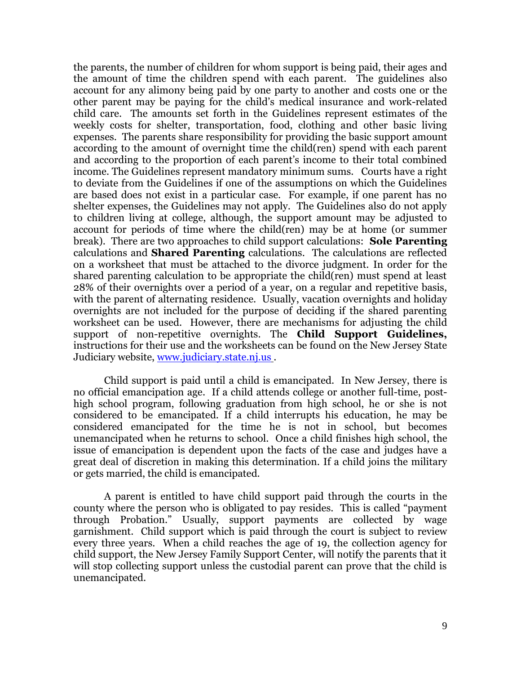the parents, the number of children for whom support is being paid, their ages and the amount of time the children spend with each parent. The guidelines also account for any alimony being paid by one party to another and costs one or the other parent may be paying for the child's medical insurance and work-related child care. The amounts set forth in the Guidelines represent estimates of the weekly costs for shelter, transportation, food, clothing and other basic living expenses. The parents share responsibility for providing the basic support amount according to the amount of overnight time the child(ren) spend with each parent and according to the proportion of each parent's income to their total combined income. The Guidelines represent mandatory minimum sums. Courts have a right to deviate from the Guidelines if one of the assumptions on which the Guidelines are based does not exist in a particular case. For example, if one parent has no shelter expenses, the Guidelines may not apply. The Guidelines also do not apply to children living at college, although, the support amount may be adjusted to account for periods of time where the child(ren) may be at home (or summer break). There are two approaches to child support calculations: **Sole Parenting**  calculations and **Shared Parenting** calculations. The calculations are reflected on a worksheet that must be attached to the divorce judgment. In order for the shared parenting calculation to be appropriate the child(ren) must spend at least 28% of their overnights over a period of a year, on a regular and repetitive basis, with the parent of alternating residence. Usually, vacation overnights and holiday overnights are not included for the purpose of deciding if the shared parenting worksheet can be used. However, there are mechanisms for adjusting the child support of non-repetitive overnights. The **Child Support Guidelines,**  instructions for their use and the worksheets can be found on the New Jersey State Judiciary website, [www.judiciary.state.nj.us](http://www.judiciary.state.nj.us/) .

Child support is paid until a child is emancipated. In New Jersey, there is no official emancipation age. If a child attends college or another full-time, posthigh school program, following graduation from high school, he or she is not considered to be emancipated. If a child interrupts his education, he may be considered emancipated for the time he is not in school, but becomes unemancipated when he returns to school. Once a child finishes high school, the issue of emancipation is dependent upon the facts of the case and judges have a great deal of discretion in making this determination. If a child joins the military or gets married, the child is emancipated.

A parent is entitled to have child support paid through the courts in the county where the person who is obligated to pay resides. This is called "payment through Probation." Usually, support payments are collected by wage garnishment. Child support which is paid through the court is subject to review every three years. When a child reaches the age of 19, the collection agency for child support, the New Jersey Family Support Center, will notify the parents that it will stop collecting support unless the custodial parent can prove that the child is unemancipated.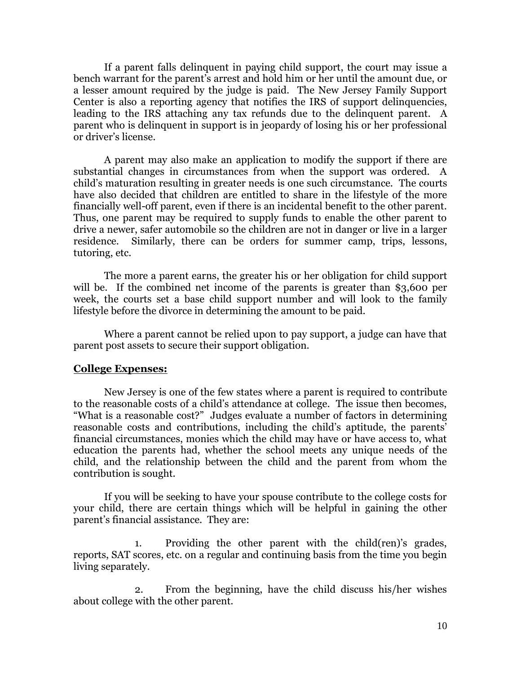If a parent falls delinquent in paying child support, the court may issue a bench warrant for the parent's arrest and hold him or her until the amount due, or a lesser amount required by the judge is paid. The New Jersey Family Support Center is also a reporting agency that notifies the IRS of support delinquencies, leading to the IRS attaching any tax refunds due to the delinquent parent. A parent who is delinquent in support is in jeopardy of losing his or her professional or driver's license.

A parent may also make an application to modify the support if there are substantial changes in circumstances from when the support was ordered. A child's maturation resulting in greater needs is one such circumstance. The courts have also decided that children are entitled to share in the lifestyle of the more financially well-off parent, even if there is an incidental benefit to the other parent. Thus, one parent may be required to supply funds to enable the other parent to drive a newer, safer automobile so the children are not in danger or live in a larger residence. Similarly, there can be orders for summer camp, trips, lessons, tutoring, etc.

The more a parent earns, the greater his or her obligation for child support will be. If the combined net income of the parents is greater than \$3,600 per week, the courts set a base child support number and will look to the family lifestyle before the divorce in determining the amount to be paid.

Where a parent cannot be relied upon to pay support, a judge can have that parent post assets to secure their support obligation.

#### **College Expenses:**

New Jersey is one of the few states where a parent is required to contribute to the reasonable costs of a child's attendance at college. The issue then becomes, "What is a reasonable cost?" Judges evaluate a number of factors in determining reasonable costs and contributions, including the child's aptitude, the parents' financial circumstances, monies which the child may have or have access to, what education the parents had, whether the school meets any unique needs of the child, and the relationship between the child and the parent from whom the contribution is sought.

If you will be seeking to have your spouse contribute to the college costs for your child, there are certain things which will be helpful in gaining the other parent's financial assistance. They are:

1. Providing the other parent with the child(ren)'s grades, reports, SAT scores, etc. on a regular and continuing basis from the time you begin living separately.

2. From the beginning, have the child discuss his/her wishes about college with the other parent.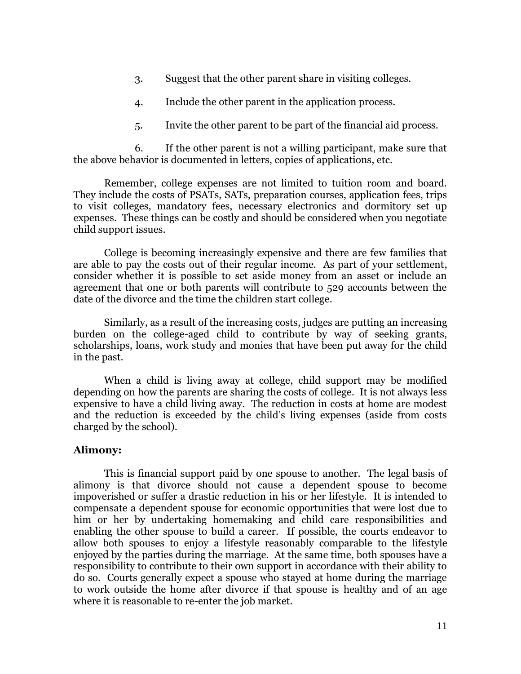- 3. Suggest that the other parent share in visiting colleges.
- 4. Include the other parent in the application process.
- 5. Invite the other parent to be part of the financial aid process.

6. If the other parent is not a willing participant, make sure that the above behavior is documented in letters, copies of applications, etc.

Remember, college expenses are not limited to tuition room and board. They include the costs of PSATs, SATs, preparation courses, application fees, trips to visit colleges, mandatory fees, necessary electronics and dormitory set up expenses. These things can be costly and should be considered when you negotiate child support issues.

College is becoming increasingly expensive and there are few families that are able to pay the costs out of their regular income. As part of your settlement, consider whether it is possible to set aside money from an asset or include an agreement that one or both parents will contribute to 529 accounts between the date of the divorce and the time the children start college.

Similarly, as a result of the increasing costs, judges are putting an increasing burden on the college-aged child to contribute by way of seeking grants, scholarships, loans, work study and monies that have been put away for the child in the past.

When a child is living away at college, child support may be modified depending on how the parents are sharing the costs of college. It is not always less expensive to have a child living away. The reduction in costs at home are modest and the reduction is exceeded by the child's living expenses (aside from costs charged by the school).

#### **Alimony:**

This is financial support paid by one spouse to another. The legal basis of alimony is that divorce should not cause a dependent spouse to become impoverished or suffer a drastic reduction in his or her lifestyle. It is intended to compensate a dependent spouse for economic opportunities that were lost due to him or her by undertaking homemaking and child care responsibilities and enabling the other spouse to build a career. If possible, the courts endeavor to allow both spouses to enjoy a lifestyle reasonably comparable to the lifestyle enjoyed by the parties during the marriage. At the same time, both spouses have a responsibility to contribute to their own support in accordance with their ability to do so. Courts generally expect a spouse who stayed at home during the marriage to work outside the home after divorce if that spouse is healthy and of an age where it is reasonable to re-enter the job market.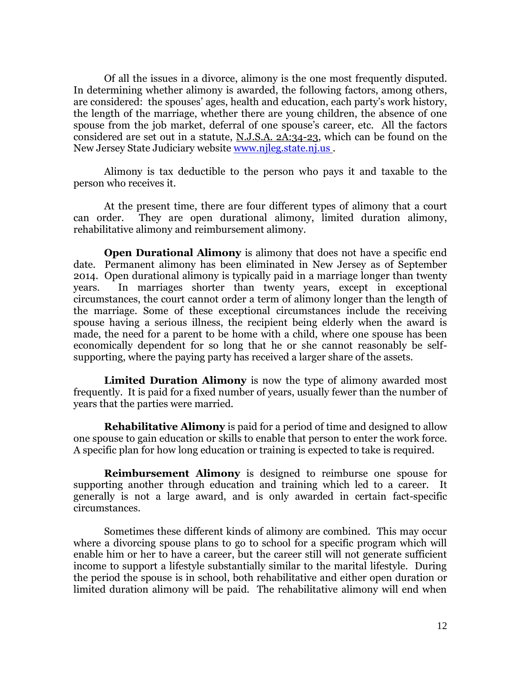Of all the issues in a divorce, alimony is the one most frequently disputed. In determining whether alimony is awarded, the following factors, among others, are considered: the spouses' ages, health and education, each party's work history, the length of the marriage, whether there are young children, the absence of one spouse from the job market, deferral of one spouse's career, etc. All the factors considered are set out in a statute, N.J.S.A. 2A:34-23, which can be found on the New Jersey State Judiciary website [www.njleg.state.nj.us](http://www.njleg.state.nj.us/).

Alimony is tax deductible to the person who pays it and taxable to the person who receives it.

At the present time, there are four different types of alimony that a court can order. They are open durational alimony, limited duration alimony, rehabilitative alimony and reimbursement alimony.

**Open Durational Alimony** is alimony that does not have a specific end date. Permanent alimony has been eliminated in New Jersey as of September 2014. Open durational alimony is typically paid in a marriage longer than twenty years. In marriages shorter than twenty years, except in exceptional circumstances, the court cannot order a term of alimony longer than the length of the marriage. Some of these exceptional circumstances include the receiving spouse having a serious illness, the recipient being elderly when the award is made, the need for a parent to be home with a child, where one spouse has been economically dependent for so long that he or she cannot reasonably be selfsupporting, where the paying party has received a larger share of the assets.

**Limited Duration Alimony** is now the type of alimony awarded most frequently. It is paid for a fixed number of years, usually fewer than the number of years that the parties were married.

**Rehabilitative Alimony** is paid for a period of time and designed to allow one spouse to gain education or skills to enable that person to enter the work force. A specific plan for how long education or training is expected to take is required.

**Reimbursement Alimony** is designed to reimburse one spouse for supporting another through education and training which led to a career. It generally is not a large award, and is only awarded in certain fact-specific circumstances.

Sometimes these different kinds of alimony are combined. This may occur where a divorcing spouse plans to go to school for a specific program which will enable him or her to have a career, but the career still will not generate sufficient income to support a lifestyle substantially similar to the marital lifestyle. During the period the spouse is in school, both rehabilitative and either open duration or limited duration alimony will be paid. The rehabilitative alimony will end when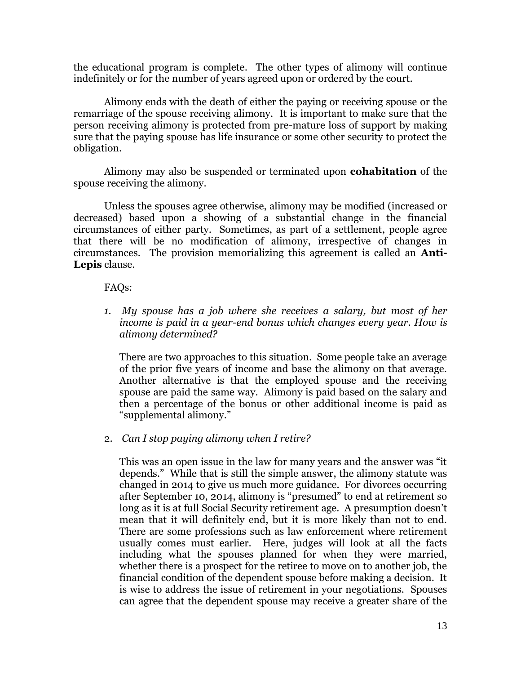the educational program is complete. The other types of alimony will continue indefinitely or for the number of years agreed upon or ordered by the court.

Alimony ends with the death of either the paying or receiving spouse or the remarriage of the spouse receiving alimony. It is important to make sure that the person receiving alimony is protected from pre-mature loss of support by making sure that the paying spouse has life insurance or some other security to protect the obligation.

Alimony may also be suspended or terminated upon **cohabitation** of the spouse receiving the alimony.

Unless the spouses agree otherwise, alimony may be modified (increased or decreased) based upon a showing of a substantial change in the financial circumstances of either party. Sometimes, as part of a settlement, people agree that there will be no modification of alimony, irrespective of changes in circumstances. The provision memorializing this agreement is called an **Anti-Lepis** clause.

FAQs:

*1. My spouse has a job where she receives a salary, but most of her income is paid in a year-end bonus which changes every year. How is alimony determined?*

There are two approaches to this situation. Some people take an average of the prior five years of income and base the alimony on that average. Another alternative is that the employed spouse and the receiving spouse are paid the same way. Alimony is paid based on the salary and then a percentage of the bonus or other additional income is paid as "supplemental alimony."

2. *Can I stop paying alimony when I retire?*

This was an open issue in the law for many years and the answer was "it depends." While that is still the simple answer, the alimony statute was changed in 2014 to give us much more guidance. For divorces occurring after September 10, 2014, alimony is "presumed" to end at retirement so long as it is at full Social Security retirement age. A presumption doesn't mean that it will definitely end, but it is more likely than not to end. There are some professions such as law enforcement where retirement usually comes must earlier. Here, judges will look at all the facts including what the spouses planned for when they were married, whether there is a prospect for the retiree to move on to another job, the financial condition of the dependent spouse before making a decision. It is wise to address the issue of retirement in your negotiations. Spouses can agree that the dependent spouse may receive a greater share of the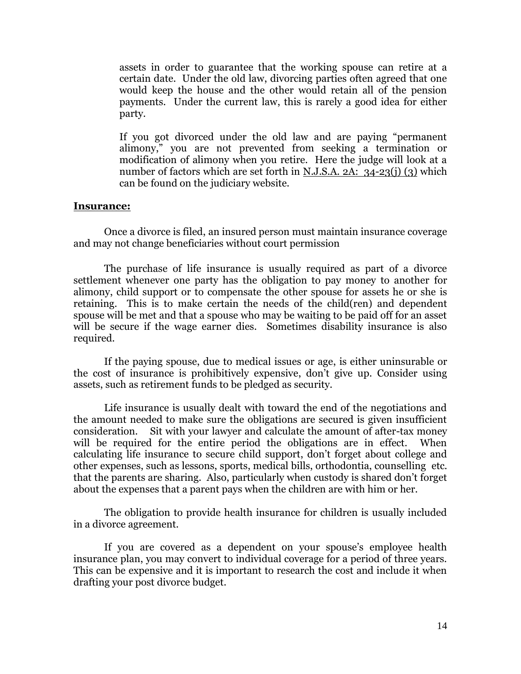assets in order to guarantee that the working spouse can retire at a certain date. Under the old law, divorcing parties often agreed that one would keep the house and the other would retain all of the pension payments. Under the current law, this is rarely a good idea for either party.

If you got divorced under the old law and are paying "permanent alimony," you are not prevented from seeking a termination or modification of alimony when you retire. Here the judge will look at a number of factors which are set forth in N.J.S.A. 2A: 34-23(j) (3) which can be found on the judiciary website.

#### **Insurance:**

Once a divorce is filed, an insured person must maintain insurance coverage and may not change beneficiaries without court permission

The purchase of life insurance is usually required as part of a divorce settlement whenever one party has the obligation to pay money to another for alimony, child support or to compensate the other spouse for assets he or she is retaining. This is to make certain the needs of the child(ren) and dependent spouse will be met and that a spouse who may be waiting to be paid off for an asset will be secure if the wage earner dies. Sometimes disability insurance is also required.

If the paying spouse, due to medical issues or age, is either uninsurable or the cost of insurance is prohibitively expensive, don't give up. Consider using assets, such as retirement funds to be pledged as security.

Life insurance is usually dealt with toward the end of the negotiations and the amount needed to make sure the obligations are secured is given insufficient consideration. Sit with your lawyer and calculate the amount of after-tax money will be required for the entire period the obligations are in effect. When calculating life insurance to secure child support, don't forget about college and other expenses, such as lessons, sports, medical bills, orthodontia, counselling etc. that the parents are sharing. Also, particularly when custody is shared don't forget about the expenses that a parent pays when the children are with him or her.

The obligation to provide health insurance for children is usually included in a divorce agreement.

If you are covered as a dependent on your spouse's employee health insurance plan, you may convert to individual coverage for a period of three years. This can be expensive and it is important to research the cost and include it when drafting your post divorce budget.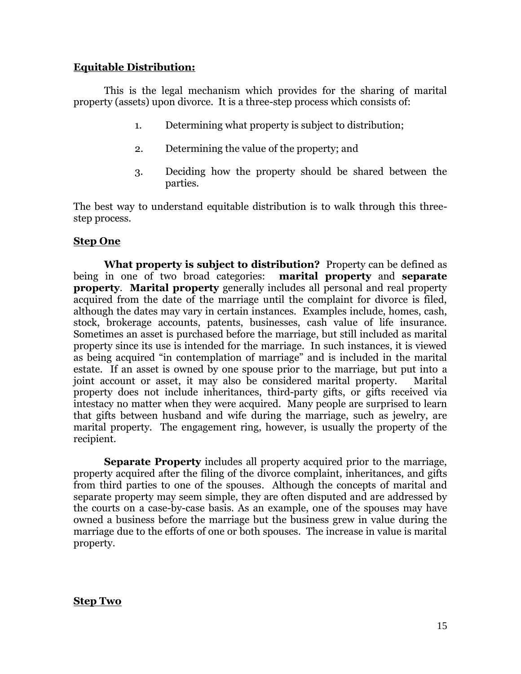# **Equitable Distribution:**

This is the legal mechanism which provides for the sharing of marital property (assets) upon divorce. It is a three-step process which consists of:

- 1. Determining what property is subject to distribution;
- 2. Determining the value of the property; and
- 3. Deciding how the property should be shared between the parties.

The best way to understand equitable distribution is to walk through this threestep process.

# **Step One**

**What property is subject to distribution?** Property can be defined as being in one of two broad categories: **marital property** and **separate property**. **Marital property** generally includes all personal and real property acquired from the date of the marriage until the complaint for divorce is filed, although the dates may vary in certain instances. Examples include, homes, cash, stock, brokerage accounts, patents, businesses, cash value of life insurance. Sometimes an asset is purchased before the marriage, but still included as marital property since its use is intended for the marriage. In such instances, it is viewed as being acquired "in contemplation of marriage" and is included in the marital estate. If an asset is owned by one spouse prior to the marriage, but put into a joint account or asset, it may also be considered marital property. Marital property does not include inheritances, third-party gifts, or gifts received via intestacy no matter when they were acquired. Many people are surprised to learn that gifts between husband and wife during the marriage, such as jewelry, are marital property. The engagement ring, however, is usually the property of the recipient.

**Separate Property** includes all property acquired prior to the marriage, property acquired after the filing of the divorce complaint, inheritances, and gifts from third parties to one of the spouses. Although the concepts of marital and separate property may seem simple, they are often disputed and are addressed by the courts on a case-by-case basis. As an example, one of the spouses may have owned a business before the marriage but the business grew in value during the marriage due to the efforts of one or both spouses. The increase in value is marital property.

# **Step Two**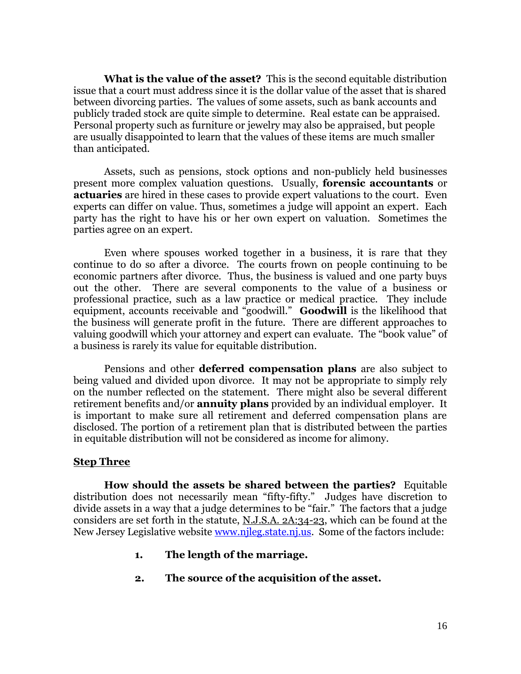**What is the value of the asset?** This is the second equitable distribution issue that a court must address since it is the dollar value of the asset that is shared between divorcing parties. The values of some assets, such as bank accounts and publicly traded stock are quite simple to determine. Real estate can be appraised. Personal property such as furniture or jewelry may also be appraised, but people are usually disappointed to learn that the values of these items are much smaller than anticipated.

Assets, such as pensions, stock options and non-publicly held businesses present more complex valuation questions. Usually, **forensic accountants** or **actuaries** are hired in these cases to provide expert valuations to the court. Even experts can differ on value. Thus, sometimes a judge will appoint an expert. Each party has the right to have his or her own expert on valuation. Sometimes the parties agree on an expert.

Even where spouses worked together in a business, it is rare that they continue to do so after a divorce. The courts frown on people continuing to be economic partners after divorce. Thus, the business is valued and one party buys out the other. There are several components to the value of a business or professional practice, such as a law practice or medical practice. They include equipment, accounts receivable and "goodwill." **Goodwill** is the likelihood that the business will generate profit in the future. There are different approaches to valuing goodwill which your attorney and expert can evaluate. The "book value" of a business is rarely its value for equitable distribution.

Pensions and other **deferred compensation plans** are also subject to being valued and divided upon divorce. It may not be appropriate to simply rely on the number reflected on the statement. There might also be several different retirement benefits and/or **annuity plans** provided by an individual employer. It is important to make sure all retirement and deferred compensation plans are disclosed. The portion of a retirement plan that is distributed between the parties in equitable distribution will not be considered as income for alimony.

#### **Step Three**

**How should the assets be shared between the parties?** Equitable distribution does not necessarily mean "fifty-fifty." Judges have discretion to divide assets in a way that a judge determines to be "fair." The factors that a judge considers are set forth in the statute, N.J.S.A. 2A:34-23, which can be found at the New Jersey Legislative website [www.njleg.state.nj.us.](http://www.njleg.state.nj.us/) Some of the factors include:

- **1. The length of the marriage.**
- **2. The source of the acquisition of the asset.**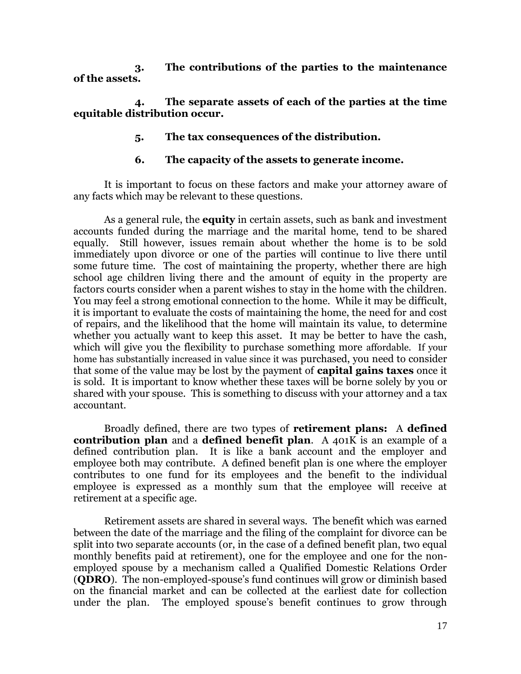**3. The contributions of the parties to the maintenance of the assets.**

**4. The separate assets of each of the parties at the time equitable distribution occur.**

**5. The tax consequences of the distribution.**

# **6. The capacity of the assets to generate income.**

It is important to focus on these factors and make your attorney aware of any facts which may be relevant to these questions.

As a general rule, the **equity** in certain assets, such as bank and investment accounts funded during the marriage and the marital home, tend to be shared equally. Still however, issues remain about whether the home is to be sold immediately upon divorce or one of the parties will continue to live there until some future time. The cost of maintaining the property, whether there are high school age children living there and the amount of equity in the property are factors courts consider when a parent wishes to stay in the home with the children. You may feel a strong emotional connection to the home. While it may be difficult, it is important to evaluate the costs of maintaining the home, the need for and cost of repairs, and the likelihood that the home will maintain its value, to determine whether you actually want to keep this asset. It may be better to have the cash, which will give you the flexibility to purchase something more affordable. If your home has substantially increased in value since it was purchased, you need to consider that some of the value may be lost by the payment of **capital gains taxes** once it is sold. It is important to know whether these taxes will be borne solely by you or shared with your spouse. This is something to discuss with your attorney and a tax accountant.

Broadly defined, there are two types of **retirement plans:** A **defined contribution plan** and a **defined benefit plan**. A 401K is an example of a defined contribution plan. It is like a bank account and the employer and employee both may contribute. A defined benefit plan is one where the employer contributes to one fund for its employees and the benefit to the individual employee is expressed as a monthly sum that the employee will receive at retirement at a specific age.

Retirement assets are shared in several ways. The benefit which was earned between the date of the marriage and the filing of the complaint for divorce can be split into two separate accounts (or, in the case of a defined benefit plan, two equal monthly benefits paid at retirement), one for the employee and one for the nonemployed spouse by a mechanism called a Qualified Domestic Relations Order (**QDRO**). The non-employed-spouse's fund continues will grow or diminish based on the financial market and can be collected at the earliest date for collection under the plan. The employed spouse's benefit continues to grow through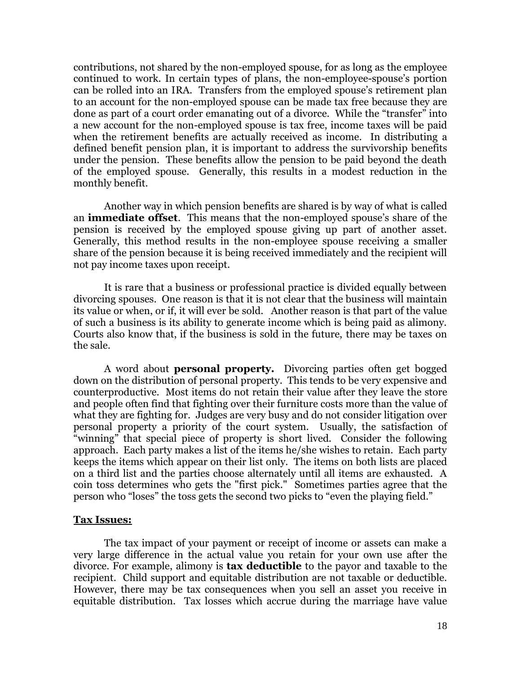contributions, not shared by the non-employed spouse, for as long as the employee continued to work. In certain types of plans, the non-employee-spouse's portion can be rolled into an IRA. Transfers from the employed spouse's retirement plan to an account for the non-employed spouse can be made tax free because they are done as part of a court order emanating out of a divorce. While the "transfer" into a new account for the non-employed spouse is tax free, income taxes will be paid when the retirement benefits are actually received as income. In distributing a defined benefit pension plan, it is important to address the survivorship benefits under the pension. These benefits allow the pension to be paid beyond the death of the employed spouse. Generally, this results in a modest reduction in the monthly benefit.

Another way in which pension benefits are shared is by way of what is called an **immediate offset**. This means that the non-employed spouse's share of the pension is received by the employed spouse giving up part of another asset. Generally, this method results in the non-employee spouse receiving a smaller share of the pension because it is being received immediately and the recipient will not pay income taxes upon receipt.

It is rare that a business or professional practice is divided equally between divorcing spouses. One reason is that it is not clear that the business will maintain its value or when, or if, it will ever be sold. Another reason is that part of the value of such a business is its ability to generate income which is being paid as alimony. Courts also know that, if the business is sold in the future, there may be taxes on the sale.

A word about **personal property.** Divorcing parties often get bogged down on the distribution of personal property. This tends to be very expensive and counterproductive. Most items do not retain their value after they leave the store and people often find that fighting over their furniture costs more than the value of what they are fighting for. Judges are very busy and do not consider litigation over personal property a priority of the court system. Usually, the satisfaction of "winning" that special piece of property is short lived. Consider the following approach. Each party makes a list of the items he/she wishes to retain. Each party keeps the items which appear on their list only. The items on both lists are placed on a third list and the parties choose alternately until all items are exhausted. A coin toss determines who gets the "first pick." Sometimes parties agree that the person who "loses" the toss gets the second two picks to "even the playing field."

#### **Tax Issues:**

The tax impact of your payment or receipt of income or assets can make a very large difference in the actual value you retain for your own use after the divorce. For example, alimony is **tax deductible** to the payor and taxable to the recipient. Child support and equitable distribution are not taxable or deductible. However, there may be tax consequences when you sell an asset you receive in equitable distribution. Tax losses which accrue during the marriage have value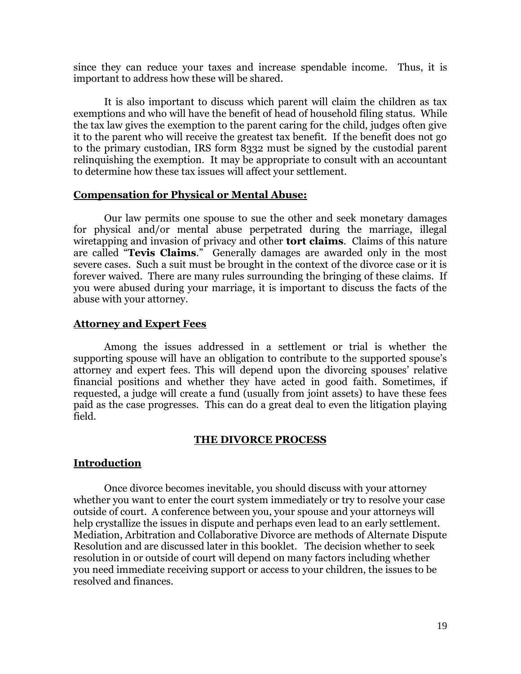since they can reduce your taxes and increase spendable income. Thus, it is important to address how these will be shared.

It is also important to discuss which parent will claim the children as tax exemptions and who will have the benefit of head of household filing status. While the tax law gives the exemption to the parent caring for the child, judges often give it to the parent who will receive the greatest tax benefit. If the benefit does not go to the primary custodian, IRS form 8332 must be signed by the custodial parent relinquishing the exemption. It may be appropriate to consult with an accountant to determine how these tax issues will affect your settlement.

#### **Compensation for Physical or Mental Abuse:**

Our law permits one spouse to sue the other and seek monetary damages for physical and/or mental abuse perpetrated during the marriage, illegal wiretapping and invasion of privacy and other **tort claims**. Claims of this nature are called "**Tevis Claims**." Generally damages are awarded only in the most severe cases. Such a suit must be brought in the context of the divorce case or it is forever waived. There are many rules surrounding the bringing of these claims. If you were abused during your marriage, it is important to discuss the facts of the abuse with your attorney.

#### **Attorney and Expert Fees**

Among the issues addressed in a settlement or trial is whether the supporting spouse will have an obligation to contribute to the supported spouse's attorney and expert fees. This will depend upon the divorcing spouses' relative financial positions and whether they have acted in good faith. Sometimes, if requested, a judge will create a fund (usually from joint assets) to have these fees paid as the case progresses. This can do a great deal to even the litigation playing field.

#### **THE DIVORCE PROCESS**

# **Introduction**

Once divorce becomes inevitable, you should discuss with your attorney whether you want to enter the court system immediately or try to resolve your case outside of court. A conference between you, your spouse and your attorneys will help crystallize the issues in dispute and perhaps even lead to an early settlement. Mediation, Arbitration and Collaborative Divorce are methods of Alternate Dispute Resolution and are discussed later in this booklet. The decision whether to seek resolution in or outside of court will depend on many factors including whether you need immediate receiving support or access to your children, the issues to be resolved and finances.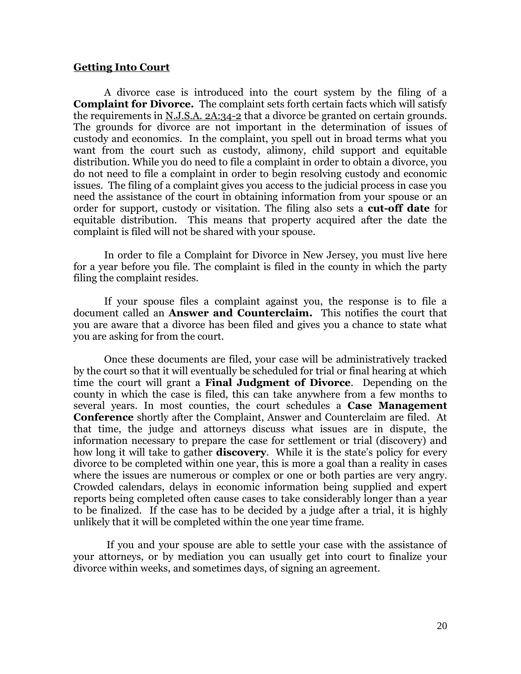#### **Getting Into Court**

A divorce case is introduced into the court system by the filing of a **Complaint for Divorce.** The complaint sets forth certain facts which will satisfy the requirements in N.J.S.A. 2A:34-2 that a divorce be granted on certain grounds. The grounds for divorce are not important in the determination of issues of custody and economics. In the complaint, you spell out in broad terms what you want from the court such as custody, alimony, child support and equitable distribution. While you do need to file a complaint in order to obtain a divorce, you do not need to file a complaint in order to begin resolving custody and economic issues. The filing of a complaint gives you access to the judicial process in case you need the assistance of the court in obtaining information from your spouse or an order for support, custody or visitation. The filing also sets a **cut-off date** for equitable distribution. This means that property acquired after the date the complaint is filed will not be shared with your spouse.

In order to file a Complaint for Divorce in New Jersey, you must live here for a year before you file. The complaint is filed in the county in which the party filing the complaint resides.

If your spouse files a complaint against you, the response is to file a document called an **Answer and Counterclaim.** This notifies the court that you are aware that a divorce has been filed and gives you a chance to state what you are asking for from the court.

Once these documents are filed, your case will be administratively tracked by the court so that it will eventually be scheduled for trial or final hearing at which time the court will grant a **Final Judgment of Divorce**. Depending on the county in which the case is filed, this can take anywhere from a few months to several years. In most counties, the court schedules a **Case Management Conference** shortly after the Complaint, Answer and Counterclaim are filed. At that time, the judge and attorneys discuss what issues are in dispute, the information necessary to prepare the case for settlement or trial (discovery) and how long it will take to gather **discovery**. While it is the state's policy for every divorce to be completed within one year, this is more a goal than a reality in cases where the issues are numerous or complex or one or both parties are very angry. Crowded calendars, delays in economic information being supplied and expert reports being completed often cause cases to take considerably longer than a year to be finalized. If the case has to be decided by a judge after a trial, it is highly unlikely that it will be completed within the one year time frame.

If you and your spouse are able to settle your case with the assistance of your attorneys, or by mediation you can usually get into court to finalize your divorce within weeks, and sometimes days, of signing an agreement.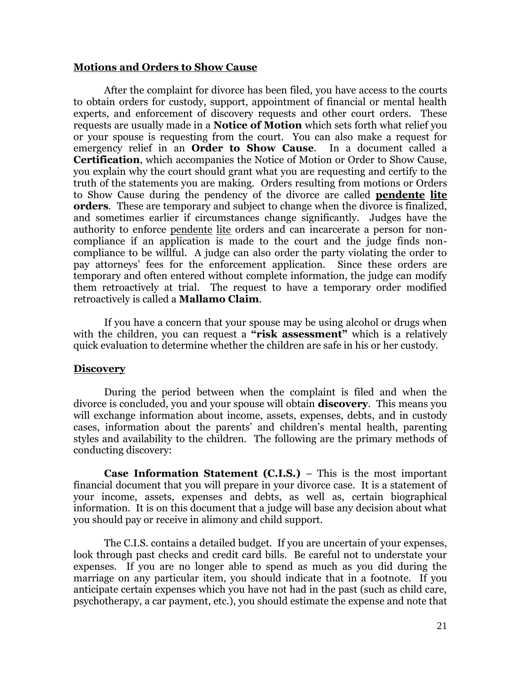#### **Motions and Orders to Show Cause**

After the complaint for divorce has been filed, you have access to the courts to obtain orders for custody, support, appointment of financial or mental health experts, and enforcement of discovery requests and other court orders. These requests are usually made in a **Notice of Motion** which sets forth what relief you or your spouse is requesting from the court. You can also make a request for emergency relief in an **Order to Show Cause**. In a document called a **Certification**, which accompanies the Notice of Motion or Order to Show Cause, you explain why the court should grant what you are requesting and certify to the truth of the statements you are making. Orders resulting from motions or Orders to Show Cause during the pendency of the divorce are called **pendente lite orders**. These are temporary and subject to change when the divorce is finalized, and sometimes earlier if circumstances change significantly. Judges have the authority to enforce pendente lite orders and can incarcerate a person for noncompliance if an application is made to the court and the judge finds noncompliance to be willful. A judge can also order the party violating the order to pay attorneys' fees for the enforcement application. Since these orders are temporary and often entered without complete information, the judge can modify them retroactively at trial. The request to have a temporary order modified retroactively is called a **Mallamo Claim**.

If you have a concern that your spouse may be using alcohol or drugs when with the children, you can request a "risk assessment" which is a relatively quick evaluation to determine whether the children are safe in his or her custody.

#### **Discovery**

During the period between when the complaint is filed and when the divorce is concluded, you and your spouse will obtain **discovery**. This means you will exchange information about income, assets, expenses, debts, and in custody cases, information about the parents' and children's mental health, parenting styles and availability to the children. The following are the primary methods of conducting discovery:

**Case Information Statement (C.I.S.)** – This is the most important financial document that you will prepare in your divorce case. It is a statement of your income, assets, expenses and debts, as well as, certain biographical information. It is on this document that a judge will base any decision about what you should pay or receive in alimony and child support.

The C.I.S. contains a detailed budget. If you are uncertain of your expenses, look through past checks and credit card bills. Be careful not to understate your expenses. If you are no longer able to spend as much as you did during the marriage on any particular item, you should indicate that in a footnote. If you anticipate certain expenses which you have not had in the past (such as child care, psychotherapy, a car payment, etc.), you should estimate the expense and note that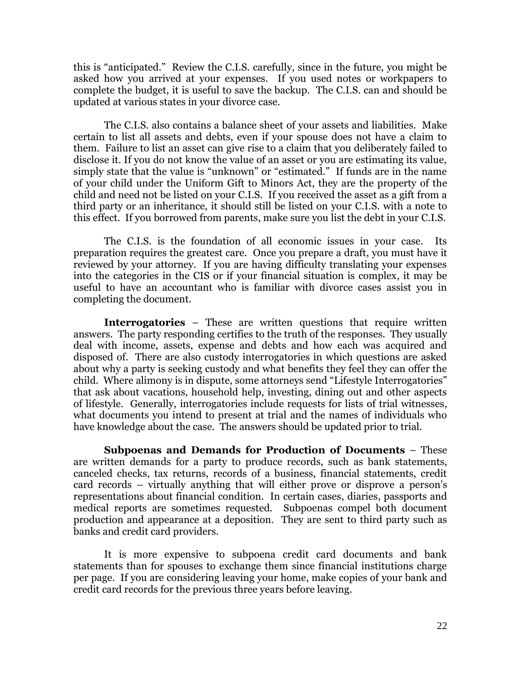this is "anticipated." Review the C.I.S. carefully, since in the future, you might be asked how you arrived at your expenses. If you used notes or workpapers to complete the budget, it is useful to save the backup. The C.I.S. can and should be updated at various states in your divorce case.

The C.I.S. also contains a balance sheet of your assets and liabilities. Make certain to list all assets and debts, even if your spouse does not have a claim to them. Failure to list an asset can give rise to a claim that you deliberately failed to disclose it. If you do not know the value of an asset or you are estimating its value, simply state that the value is "unknown" or "estimated." If funds are in the name of your child under the Uniform Gift to Minors Act, they are the property of the child and need not be listed on your C.I.S. If you received the asset as a gift from a third party or an inheritance, it should still be listed on your C.I.S. with a note to this effect. If you borrowed from parents, make sure you list the debt in your C.I.S.

The C.I.S. is the foundation of all economic issues in your case. Its preparation requires the greatest care. Once you prepare a draft, you must have it reviewed by your attorney. If you are having difficulty translating your expenses into the categories in the CIS or if your financial situation is complex, it may be useful to have an accountant who is familiar with divorce cases assist you in completing the document.

**Interrogatories** – These are written questions that require written answers. The party responding certifies to the truth of the responses. They usually deal with income, assets, expense and debts and how each was acquired and disposed of. There are also custody interrogatories in which questions are asked about why a party is seeking custody and what benefits they feel they can offer the child. Where alimony is in dispute, some attorneys send "Lifestyle Interrogatories" that ask about vacations, household help, investing, dining out and other aspects of lifestyle. Generally, interrogatories include requests for lists of trial witnesses, what documents you intend to present at trial and the names of individuals who have knowledge about the case. The answers should be updated prior to trial.

**Subpoenas and Demands for Production of Documents** – These are written demands for a party to produce records, such as bank statements, canceled checks, tax returns, records of a business, financial statements, credit card records – virtually anything that will either prove or disprove a person's representations about financial condition. In certain cases, diaries, passports and medical reports are sometimes requested. Subpoenas compel both document production and appearance at a deposition. They are sent to third party such as banks and credit card providers.

It is more expensive to subpoena credit card documents and bank statements than for spouses to exchange them since financial institutions charge per page. If you are considering leaving your home, make copies of your bank and credit card records for the previous three years before leaving.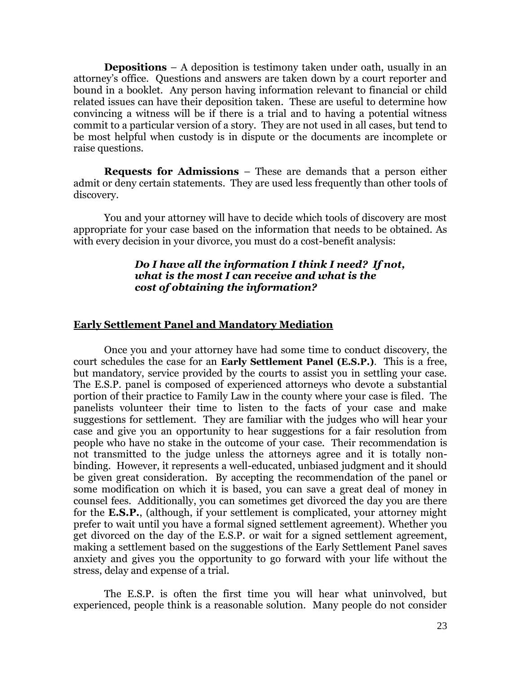**Depositions** – A deposition is testimony taken under oath, usually in an attorney's office. Questions and answers are taken down by a court reporter and bound in a booklet. Any person having information relevant to financial or child related issues can have their deposition taken. These are useful to determine how convincing a witness will be if there is a trial and to having a potential witness commit to a particular version of a story. They are not used in all cases, but tend to be most helpful when custody is in dispute or the documents are incomplete or raise questions.

**Requests for Admissions** – These are demands that a person either admit or deny certain statements. They are used less frequently than other tools of discovery.

You and your attorney will have to decide which tools of discovery are most appropriate for your case based on the information that needs to be obtained. As with every decision in your divorce, you must do a cost-benefit analysis:

# *Do I have all the information I think I need? If not, what is the most I can receive and what is the cost of obtaining the information?*

# **Early Settlement Panel and Mandatory Mediation**

Once you and your attorney have had some time to conduct discovery, the court schedules the case for an **Early Settlement Panel (E.S.P.)**. This is a free, but mandatory, service provided by the courts to assist you in settling your case. The E.S.P. panel is composed of experienced attorneys who devote a substantial portion of their practice to Family Law in the county where your case is filed. The panelists volunteer their time to listen to the facts of your case and make suggestions for settlement. They are familiar with the judges who will hear your case and give you an opportunity to hear suggestions for a fair resolution from people who have no stake in the outcome of your case. Their recommendation is not transmitted to the judge unless the attorneys agree and it is totally nonbinding. However, it represents a well-educated, unbiased judgment and it should be given great consideration. By accepting the recommendation of the panel or some modification on which it is based, you can save a great deal of money in counsel fees. Additionally, you can sometimes get divorced the day you are there for the **E.S.P.**, (although, if your settlement is complicated, your attorney might prefer to wait until you have a formal signed settlement agreement). Whether you get divorced on the day of the E.S.P. or wait for a signed settlement agreement, making a settlement based on the suggestions of the Early Settlement Panel saves anxiety and gives you the opportunity to go forward with your life without the stress, delay and expense of a trial.

The E.S.P. is often the first time you will hear what uninvolved, but experienced, people think is a reasonable solution. Many people do not consider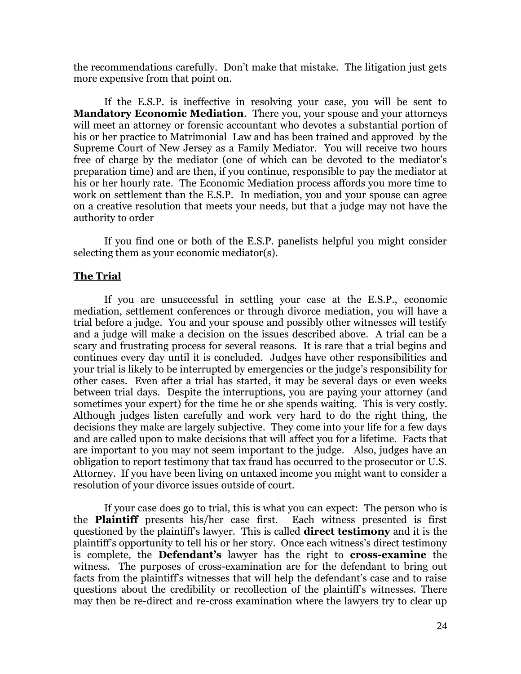the recommendations carefully. Don't make that mistake. The litigation just gets more expensive from that point on.

If the E.S.P. is ineffective in resolving your case, you will be sent to **Mandatory Economic Mediation**. There you, your spouse and your attorneys will meet an attorney or forensic accountant who devotes a substantial portion of his or her practice to Matrimonial Law and has been trained and approved by the Supreme Court of New Jersey as a Family Mediator. You will receive two hours free of charge by the mediator (one of which can be devoted to the mediator's preparation time) and are then, if you continue, responsible to pay the mediator at his or her hourly rate. The Economic Mediation process affords you more time to work on settlement than the E.S.P. In mediation, you and your spouse can agree on a creative resolution that meets your needs, but that a judge may not have the authority to order

If you find one or both of the E.S.P. panelists helpful you might consider selecting them as your economic mediator(s).

#### **The Trial**

If you are unsuccessful in settling your case at the E.S.P., economic mediation, settlement conferences or through divorce mediation, you will have a trial before a judge. You and your spouse and possibly other witnesses will testify and a judge will make a decision on the issues described above. A trial can be a scary and frustrating process for several reasons. It is rare that a trial begins and continues every day until it is concluded. Judges have other responsibilities and your trial is likely to be interrupted by emergencies or the judge's responsibility for other cases. Even after a trial has started, it may be several days or even weeks between trial days. Despite the interruptions, you are paying your attorney (and sometimes your expert) for the time he or she spends waiting. This is very costly. Although judges listen carefully and work very hard to do the right thing, the decisions they make are largely subjective. They come into your life for a few days and are called upon to make decisions that will affect you for a lifetime. Facts that are important to you may not seem important to the judge. Also, judges have an obligation to report testimony that tax fraud has occurred to the prosecutor or U.S. Attorney. If you have been living on untaxed income you might want to consider a resolution of your divorce issues outside of court.

If your case does go to trial, this is what you can expect: The person who is the **Plaintiff** presents his/her case first. Each witness presented is first questioned by the plaintiff's lawyer. This is called **direct testimony** and it is the plaintiff's opportunity to tell his or her story. Once each witness's direct testimony is complete, the **Defendant's** lawyer has the right to **cross-examine** the witness. The purposes of cross-examination are for the defendant to bring out facts from the plaintiff's witnesses that will help the defendant's case and to raise questions about the credibility or recollection of the plaintiff's witnesses. There may then be re-direct and re-cross examination where the lawyers try to clear up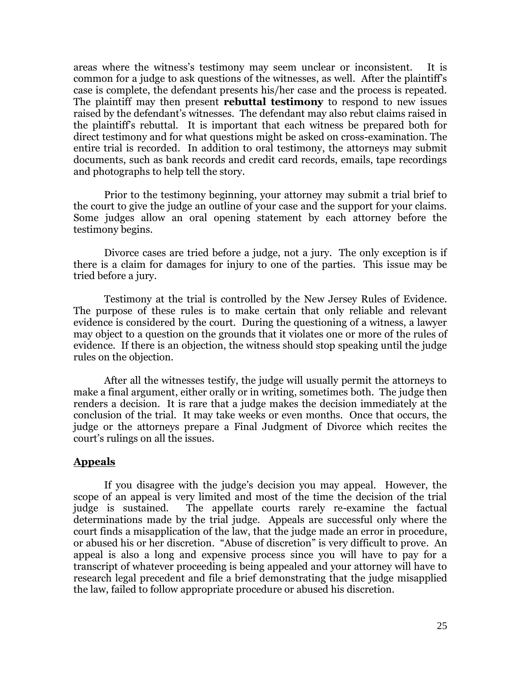areas where the witness's testimony may seem unclear or inconsistent. It is common for a judge to ask questions of the witnesses, as well. After the plaintiff's case is complete, the defendant presents his/her case and the process is repeated. The plaintiff may then present **rebuttal testimony** to respond to new issues raised by the defendant's witnesses. The defendant may also rebut claims raised in the plaintiff's rebuttal. It is important that each witness be prepared both for direct testimony and for what questions might be asked on cross-examination. The entire trial is recorded. In addition to oral testimony, the attorneys may submit documents, such as bank records and credit card records, emails, tape recordings and photographs to help tell the story.

Prior to the testimony beginning, your attorney may submit a trial brief to the court to give the judge an outline of your case and the support for your claims. Some judges allow an oral opening statement by each attorney before the testimony begins.

Divorce cases are tried before a judge, not a jury. The only exception is if there is a claim for damages for injury to one of the parties. This issue may be tried before a jury.

Testimony at the trial is controlled by the New Jersey Rules of Evidence. The purpose of these rules is to make certain that only reliable and relevant evidence is considered by the court. During the questioning of a witness, a lawyer may object to a question on the grounds that it violates one or more of the rules of evidence. If there is an objection, the witness should stop speaking until the judge rules on the objection.

After all the witnesses testify, the judge will usually permit the attorneys to make a final argument, either orally or in writing, sometimes both. The judge then renders a decision. It is rare that a judge makes the decision immediately at the conclusion of the trial. It may take weeks or even months. Once that occurs, the judge or the attorneys prepare a Final Judgment of Divorce which recites the court's rulings on all the issues.

#### **Appeals**

If you disagree with the judge's decision you may appeal. However, the scope of an appeal is very limited and most of the time the decision of the trial judge is sustained. The appellate courts rarely re-examine the factual determinations made by the trial judge. Appeals are successful only where the court finds a misapplication of the law, that the judge made an error in procedure, or abused his or her discretion. "Abuse of discretion" is very difficult to prove. An appeal is also a long and expensive process since you will have to pay for a transcript of whatever proceeding is being appealed and your attorney will have to research legal precedent and file a brief demonstrating that the judge misapplied the law, failed to follow appropriate procedure or abused his discretion.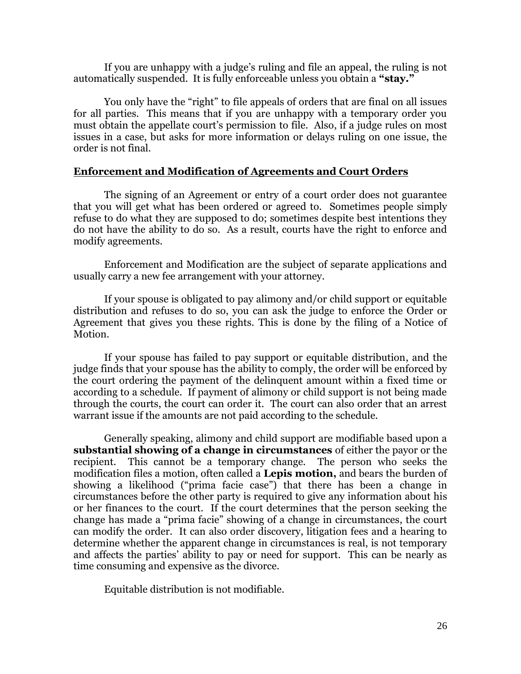If you are unhappy with a judge's ruling and file an appeal, the ruling is not automatically suspended. It is fully enforceable unless you obtain a **"stay."**

You only have the "right" to file appeals of orders that are final on all issues for all parties. This means that if you are unhappy with a temporary order you must obtain the appellate court's permission to file. Also, if a judge rules on most issues in a case, but asks for more information or delays ruling on one issue, the order is not final.

#### **Enforcement and Modification of Agreements and Court Orders**

The signing of an Agreement or entry of a court order does not guarantee that you will get what has been ordered or agreed to. Sometimes people simply refuse to do what they are supposed to do; sometimes despite best intentions they do not have the ability to do so. As a result, courts have the right to enforce and modify agreements.

Enforcement and Modification are the subject of separate applications and usually carry a new fee arrangement with your attorney.

If your spouse is obligated to pay alimony and/or child support or equitable distribution and refuses to do so, you can ask the judge to enforce the Order or Agreement that gives you these rights. This is done by the filing of a Notice of Motion.

If your spouse has failed to pay support or equitable distribution, and the judge finds that your spouse has the ability to comply, the order will be enforced by the court ordering the payment of the delinquent amount within a fixed time or according to a schedule. If payment of alimony or child support is not being made through the courts, the court can order it. The court can also order that an arrest warrant issue if the amounts are not paid according to the schedule.

Generally speaking, alimony and child support are modifiable based upon a **substantial showing of a change in circumstances** of either the payor or the recipient. This cannot be a temporary change. The person who seeks the modification files a motion, often called a **Lepis motion,** and bears the burden of showing a likelihood ("prima facie case") that there has been a change in circumstances before the other party is required to give any information about his or her finances to the court. If the court determines that the person seeking the change has made a "prima facie" showing of a change in circumstances, the court can modify the order. It can also order discovery, litigation fees and a hearing to determine whether the apparent change in circumstances is real, is not temporary and affects the parties' ability to pay or need for support. This can be nearly as time consuming and expensive as the divorce.

Equitable distribution is not modifiable.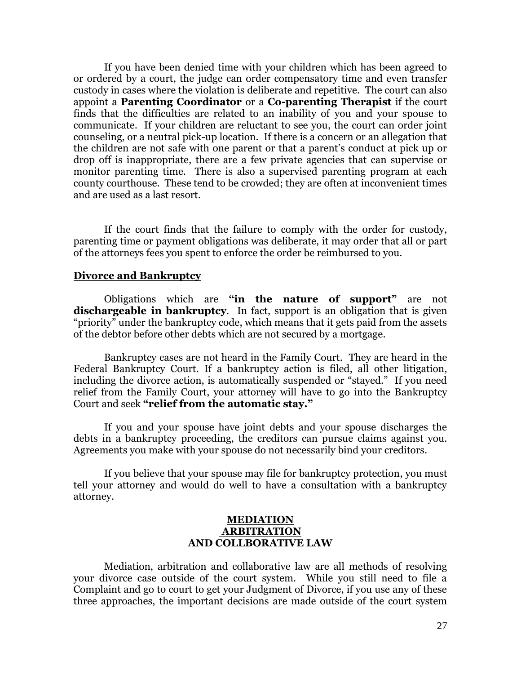If you have been denied time with your children which has been agreed to or ordered by a court, the judge can order compensatory time and even transfer custody in cases where the violation is deliberate and repetitive. The court can also appoint a **Parenting Coordinator** or a **Co-parenting Therapist** if the court finds that the difficulties are related to an inability of you and your spouse to communicate. If your children are reluctant to see you, the court can order joint counseling, or a neutral pick-up location. If there is a concern or an allegation that the children are not safe with one parent or that a parent's conduct at pick up or drop off is inappropriate, there are a few private agencies that can supervise or monitor parenting time. There is also a supervised parenting program at each county courthouse. These tend to be crowded; they are often at inconvenient times and are used as a last resort.

If the court finds that the failure to comply with the order for custody, parenting time or payment obligations was deliberate, it may order that all or part of the attorneys fees you spent to enforce the order be reimbursed to you.

#### **Divorce and Bankruptcy**

Obligations which are **"in the nature of support"** are not **dischargeable in bankruptcy**. In fact, support is an obligation that is given "priority" under the bankruptcy code, which means that it gets paid from the assets of the debtor before other debts which are not secured by a mortgage.

Bankruptcy cases are not heard in the Family Court. They are heard in the Federal Bankruptcy Court. If a bankruptcy action is filed, all other litigation, including the divorce action, is automatically suspended or "stayed." If you need relief from the Family Court, your attorney will have to go into the Bankruptcy Court and seek **"relief from the automatic stay."**

If you and your spouse have joint debts and your spouse discharges the debts in a bankruptcy proceeding, the creditors can pursue claims against you. Agreements you make with your spouse do not necessarily bind your creditors.

If you believe that your spouse may file for bankruptcy protection, you must tell your attorney and would do well to have a consultation with a bankruptcy attorney.

## **MEDIATION ARBITRATION AND COLLBORATIVE LAW**

Mediation, arbitration and collaborative law are all methods of resolving your divorce case outside of the court system. While you still need to file a Complaint and go to court to get your Judgment of Divorce, if you use any of these three approaches, the important decisions are made outside of the court system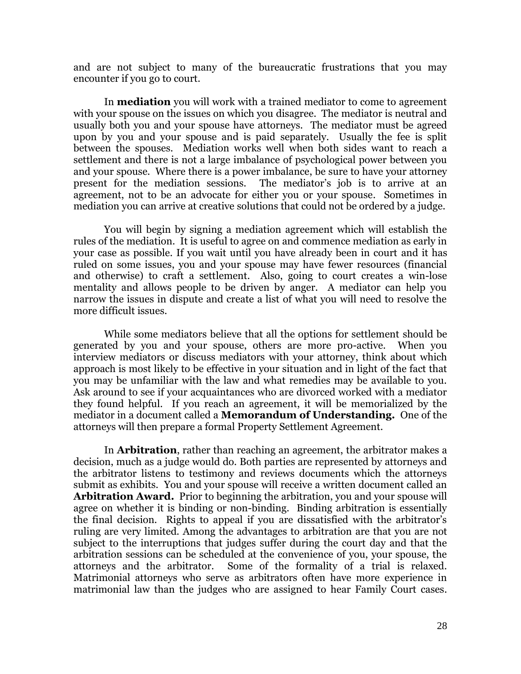and are not subject to many of the bureaucratic frustrations that you may encounter if you go to court.

In **mediation** you will work with a trained mediator to come to agreement with your spouse on the issues on which you disagree. The mediator is neutral and usually both you and your spouse have attorneys. The mediator must be agreed upon by you and your spouse and is paid separately. Usually the fee is split between the spouses. Mediation works well when both sides want to reach a settlement and there is not a large imbalance of psychological power between you and your spouse. Where there is a power imbalance, be sure to have your attorney present for the mediation sessions. The mediator's job is to arrive at an agreement, not to be an advocate for either you or your spouse. Sometimes in mediation you can arrive at creative solutions that could not be ordered by a judge.

You will begin by signing a mediation agreement which will establish the rules of the mediation. It is useful to agree on and commence mediation as early in your case as possible. If you wait until you have already been in court and it has ruled on some issues, you and your spouse may have fewer resources (financial and otherwise) to craft a settlement. Also, going to court creates a win-lose mentality and allows people to be driven by anger. A mediator can help you narrow the issues in dispute and create a list of what you will need to resolve the more difficult issues.

While some mediators believe that all the options for settlement should be generated by you and your spouse, others are more pro-active. When you interview mediators or discuss mediators with your attorney, think about which approach is most likely to be effective in your situation and in light of the fact that you may be unfamiliar with the law and what remedies may be available to you. Ask around to see if your acquaintances who are divorced worked with a mediator they found helpful. If you reach an agreement, it will be memorialized by the mediator in a document called a **Memorandum of Understanding.** One of the attorneys will then prepare a formal Property Settlement Agreement.

In **Arbitration**, rather than reaching an agreement, the arbitrator makes a decision, much as a judge would do. Both parties are represented by attorneys and the arbitrator listens to testimony and reviews documents which the attorneys submit as exhibits. You and your spouse will receive a written document called an **Arbitration Award.** Prior to beginning the arbitration, you and your spouse will agree on whether it is binding or non-binding. Binding arbitration is essentially the final decision. Rights to appeal if you are dissatisfied with the arbitrator's ruling are very limited. Among the advantages to arbitration are that you are not subject to the interruptions that judges suffer during the court day and that the arbitration sessions can be scheduled at the convenience of you, your spouse, the attorneys and the arbitrator. Some of the formality of a trial is relaxed. Matrimonial attorneys who serve as arbitrators often have more experience in matrimonial law than the judges who are assigned to hear Family Court cases.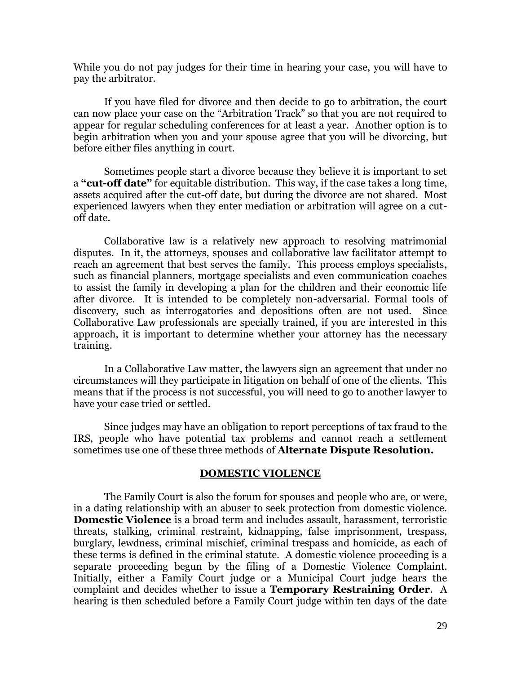While you do not pay judges for their time in hearing your case, you will have to pay the arbitrator.

If you have filed for divorce and then decide to go to arbitration, the court can now place your case on the "Arbitration Track" so that you are not required to appear for regular scheduling conferences for at least a year. Another option is to begin arbitration when you and your spouse agree that you will be divorcing, but before either files anything in court.

Sometimes people start a divorce because they believe it is important to set a **"cut-off date"** for equitable distribution. This way, if the case takes a long time, assets acquired after the cut-off date, but during the divorce are not shared. Most experienced lawyers when they enter mediation or arbitration will agree on a cutoff date.

Collaborative law is a relatively new approach to resolving matrimonial disputes. In it, the attorneys, spouses and collaborative law facilitator attempt to reach an agreement that best serves the family. This process employs specialists, such as financial planners, mortgage specialists and even communication coaches to assist the family in developing a plan for the children and their economic life after divorce. It is intended to be completely non-adversarial. Formal tools of discovery, such as interrogatories and depositions often are not used. Since Collaborative Law professionals are specially trained, if you are interested in this approach, it is important to determine whether your attorney has the necessary training.

In a Collaborative Law matter, the lawyers sign an agreement that under no circumstances will they participate in litigation on behalf of one of the clients. This means that if the process is not successful, you will need to go to another lawyer to have your case tried or settled.

Since judges may have an obligation to report perceptions of tax fraud to the IRS, people who have potential tax problems and cannot reach a settlement sometimes use one of these three methods of **Alternate Dispute Resolution.**

#### **DOMESTIC VIOLENCE**

The Family Court is also the forum for spouses and people who are, or were, in a dating relationship with an abuser to seek protection from domestic violence. **Domestic Violence** is a broad term and includes assault, harassment, terroristic threats, stalking, criminal restraint, kidnapping, false imprisonment, trespass, burglary, lewdness, criminal mischief, criminal trespass and homicide, as each of these terms is defined in the criminal statute. A domestic violence proceeding is a separate proceeding begun by the filing of a Domestic Violence Complaint. Initially, either a Family Court judge or a Municipal Court judge hears the complaint and decides whether to issue a **Temporary Restraining Order**. A hearing is then scheduled before a Family Court judge within ten days of the date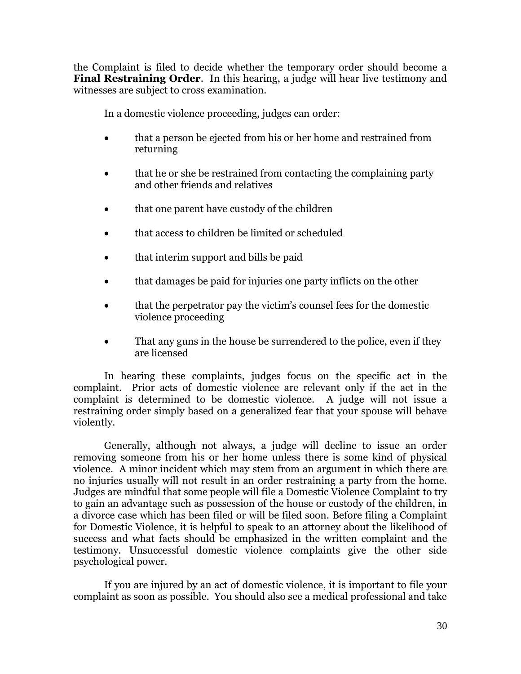the Complaint is filed to decide whether the temporary order should become a **Final Restraining Order**. In this hearing, a judge will hear live testimony and witnesses are subject to cross examination.

In a domestic violence proceeding, judges can order:

- that a person be ejected from his or her home and restrained from returning
- that he or she be restrained from contacting the complaining party and other friends and relatives
- that one parent have custody of the children
- that access to children be limited or scheduled
- that interim support and bills be paid
- that damages be paid for injuries one party inflicts on the other
- that the perpetrator pay the victim's counsel fees for the domestic violence proceeding
- That any guns in the house be surrendered to the police, even if they are licensed

In hearing these complaints, judges focus on the specific act in the complaint. Prior acts of domestic violence are relevant only if the act in the complaint is determined to be domestic violence. A judge will not issue a restraining order simply based on a generalized fear that your spouse will behave violently.

Generally, although not always, a judge will decline to issue an order removing someone from his or her home unless there is some kind of physical violence. A minor incident which may stem from an argument in which there are no injuries usually will not result in an order restraining a party from the home. Judges are mindful that some people will file a Domestic Violence Complaint to try to gain an advantage such as possession of the house or custody of the children, in a divorce case which has been filed or will be filed soon. Before filing a Complaint for Domestic Violence, it is helpful to speak to an attorney about the likelihood of success and what facts should be emphasized in the written complaint and the testimony. Unsuccessful domestic violence complaints give the other side psychological power.

If you are injured by an act of domestic violence, it is important to file your complaint as soon as possible. You should also see a medical professional and take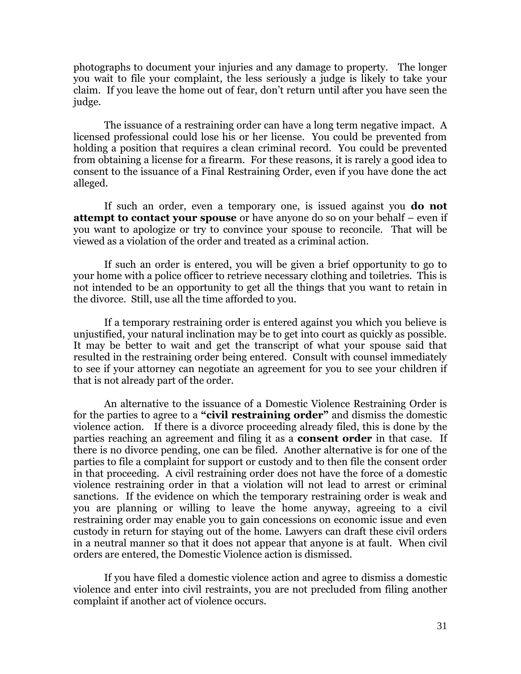photographs to document your injuries and any damage to property. The longer you wait to file your complaint, the less seriously a judge is likely to take your claim. If you leave the home out of fear, don't return until after you have seen the judge.

The issuance of a restraining order can have a long term negative impact. A licensed professional could lose his or her license. You could be prevented from holding a position that requires a clean criminal record. You could be prevented from obtaining a license for a firearm. For these reasons, it is rarely a good idea to consent to the issuance of a Final Restraining Order, even if you have done the act alleged.

If such an order, even a temporary one, is issued against you **do not attempt to contact your spouse** or have anyone do so on your behalf – even if you want to apologize or try to convince your spouse to reconcile. That will be viewed as a violation of the order and treated as a criminal action.

If such an order is entered, you will be given a brief opportunity to go to your home with a police officer to retrieve necessary clothing and toiletries. This is not intended to be an opportunity to get all the things that you want to retain in the divorce. Still, use all the time afforded to you.

If a temporary restraining order is entered against you which you believe is unjustified, your natural inclination may be to get into court as quickly as possible. It may be better to wait and get the transcript of what your spouse said that resulted in the restraining order being entered. Consult with counsel immediately to see if your attorney can negotiate an agreement for you to see your children if that is not already part of the order.

An alternative to the issuance of a Domestic Violence Restraining Order is for the parties to agree to a **"civil restraining order"** and dismiss the domestic violence action. If there is a divorce proceeding already filed, this is done by the parties reaching an agreement and filing it as a **consent order** in that case. If there is no divorce pending, one can be filed. Another alternative is for one of the parties to file a complaint for support or custody and to then file the consent order in that proceeding. A civil restraining order does not have the force of a domestic violence restraining order in that a violation will not lead to arrest or criminal sanctions. If the evidence on which the temporary restraining order is weak and you are planning or willing to leave the home anyway, agreeing to a civil restraining order may enable you to gain concessions on economic issue and even custody in return for staying out of the home. Lawyers can draft these civil orders in a neutral manner so that it does not appear that anyone is at fault. When civil orders are entered, the Domestic Violence action is dismissed.

If you have filed a domestic violence action and agree to dismiss a domestic violence and enter into civil restraints, you are not precluded from filing another complaint if another act of violence occurs.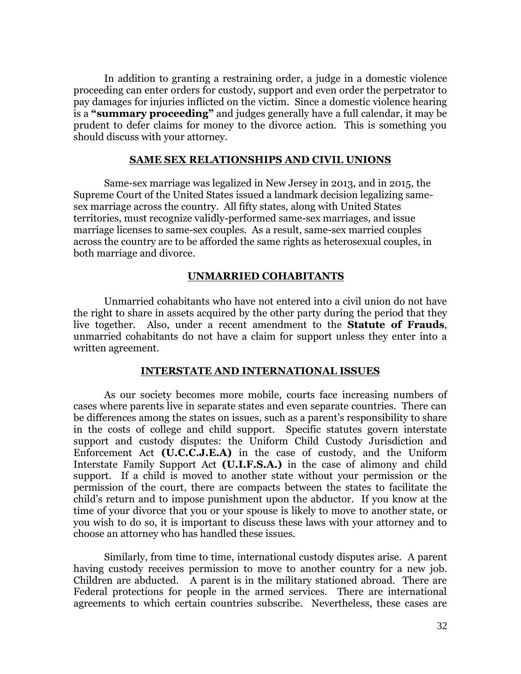In addition to granting a restraining order, a judge in a domestic violence proceeding can enter orders for custody, support and even order the perpetrator to pay damages for injuries inflicted on the victim. Since a domestic violence hearing is a **"summary proceeding"** and judges generally have a full calendar, it may be prudent to defer claims for money to the divorce action. This is something you should discuss with your attorney.

#### **SAME SEX RELATIONSHIPS AND CIVIL UNIONS**

Same-sex marriage was legalized in New Jersey in 2013, and in 2015, the Supreme Court of the United States issued a landmark decision legalizing samesex marriage across the country. All fifty states, along with United States territories, must recognize validly-performed same-sex marriages, and issue marriage licenses to same-sex couples. As a result, same-sex married couples across the country are to be afforded the same rights as heterosexual couples, in both marriage and divorce.

#### **UNMARRIED COHABITANTS**

Unmarried cohabitants who have not entered into a civil union do not have the right to share in assets acquired by the other party during the period that they live together. Also, under a recent amendment to the **Statute of Frauds**, unmarried cohabitants do not have a claim for support unless they enter into a written agreement.

#### **INTERSTATE AND INTERNATIONAL ISSUES**

As our society becomes more mobile, courts face increasing numbers of cases where parents live in separate states and even separate countries. There can be differences among the states on issues, such as a parent's responsibility to share in the costs of college and child support. Specific statutes govern interstate support and custody disputes: the Uniform Child Custody Jurisdiction and Enforcement Act **(U.C.C.J.E.A)** in the case of custody, and the Uniform Interstate Family Support Act **(U.I.F.S.A.)** in the case of alimony and child support. If a child is moved to another state without your permission or the permission of the court, there are compacts between the states to facilitate the child's return and to impose punishment upon the abductor. If you know at the time of your divorce that you or your spouse is likely to move to another state, or you wish to do so, it is important to discuss these laws with your attorney and to choose an attorney who has handled these issues.

Similarly, from time to time, international custody disputes arise. A parent having custody receives permission to move to another country for a new job. Children are abducted. A parent is in the military stationed abroad. There are Federal protections for people in the armed services. There are international agreements to which certain countries subscribe. Nevertheless, these cases are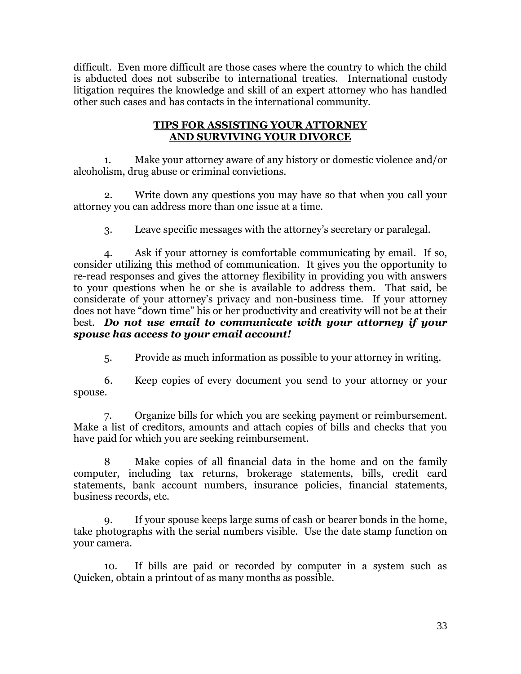difficult. Even more difficult are those cases where the country to which the child is abducted does not subscribe to international treaties. International custody litigation requires the knowledge and skill of an expert attorney who has handled other such cases and has contacts in the international community.

# **TIPS FOR ASSISTING YOUR ATTORNEY AND SURVIVING YOUR DIVORCE**

1. Make your attorney aware of any history or domestic violence and/or alcoholism, drug abuse or criminal convictions.

2. Write down any questions you may have so that when you call your attorney you can address more than one issue at a time.

3. Leave specific messages with the attorney's secretary or paralegal.

4. Ask if your attorney is comfortable communicating by email. If so, consider utilizing this method of communication. It gives you the opportunity to re-read responses and gives the attorney flexibility in providing you with answers to your questions when he or she is available to address them. That said, be considerate of your attorney's privacy and non-business time. If your attorney does not have "down time" his or her productivity and creativity will not be at their best. *Do not use email to communicate with your attorney if your spouse has access to your email account!*

5. Provide as much information as possible to your attorney in writing.

6. Keep copies of every document you send to your attorney or your spouse.

7. Organize bills for which you are seeking payment or reimbursement. Make a list of creditors, amounts and attach copies of bills and checks that you have paid for which you are seeking reimbursement.

Make copies of all financial data in the home and on the family computer, including tax returns, brokerage statements, bills, credit card statements, bank account numbers, insurance policies, financial statements, business records, etc.

9. If your spouse keeps large sums of cash or bearer bonds in the home, take photographs with the serial numbers visible. Use the date stamp function on your camera.

10. If bills are paid or recorded by computer in a system such as Quicken, obtain a printout of as many months as possible.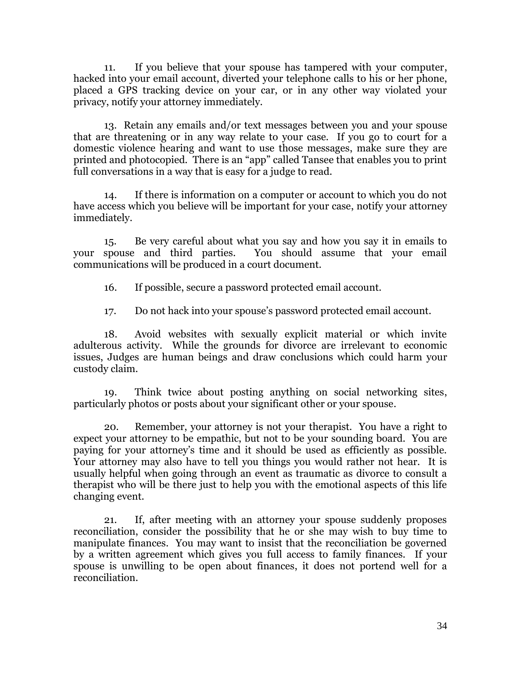11. If you believe that your spouse has tampered with your computer, hacked into your email account, diverted your telephone calls to his or her phone, placed a GPS tracking device on your car, or in any other way violated your privacy, notify your attorney immediately.

13. Retain any emails and/or text messages between you and your spouse that are threatening or in any way relate to your case. If you go to court for a domestic violence hearing and want to use those messages, make sure they are printed and photocopied. There is an "app" called Tansee that enables you to print full conversations in a way that is easy for a judge to read.

14. If there is information on a computer or account to which you do not have access which you believe will be important for your case, notify your attorney immediately.

15. Be very careful about what you say and how you say it in emails to your spouse and third parties. You should assume that your email communications will be produced in a court document.

16. If possible, secure a password protected email account.

17. Do not hack into your spouse's password protected email account.

18. Avoid websites with sexually explicit material or which invite adulterous activity. While the grounds for divorce are irrelevant to economic issues, Judges are human beings and draw conclusions which could harm your custody claim.

19. Think twice about posting anything on social networking sites, particularly photos or posts about your significant other or your spouse.

20. Remember, your attorney is not your therapist. You have a right to expect your attorney to be empathic, but not to be your sounding board. You are paying for your attorney's time and it should be used as efficiently as possible. Your attorney may also have to tell you things you would rather not hear. It is usually helpful when going through an event as traumatic as divorce to consult a therapist who will be there just to help you with the emotional aspects of this life changing event.

21. If, after meeting with an attorney your spouse suddenly proposes reconciliation, consider the possibility that he or she may wish to buy time to manipulate finances. You may want to insist that the reconciliation be governed by a written agreement which gives you full access to family finances. If your spouse is unwilling to be open about finances, it does not portend well for a reconciliation.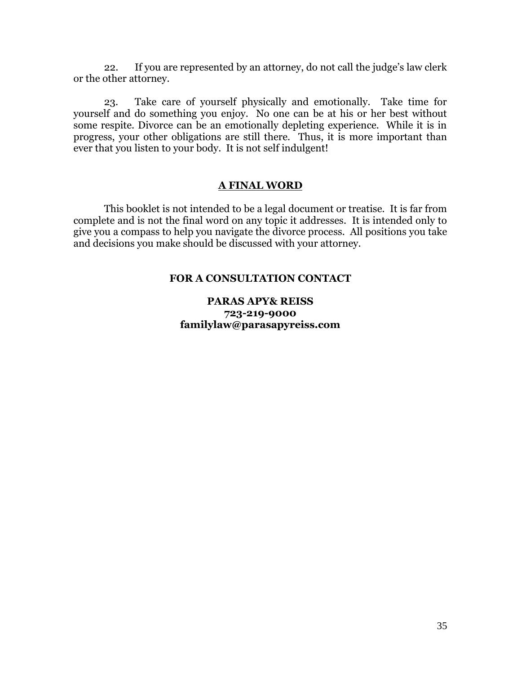22. If you are represented by an attorney, do not call the judge's law clerk or the other attorney.

23. Take care of yourself physically and emotionally. Take time for yourself and do something you enjoy. No one can be at his or her best without some respite. Divorce can be an emotionally depleting experience. While it is in progress, your other obligations are still there. Thus, it is more important than ever that you listen to your body. It is not self indulgent!

# **A FINAL WORD**

This booklet is not intended to be a legal document or treatise. It is far from complete and is not the final word on any topic it addresses. It is intended only to give you a compass to help you navigate the divorce process. All positions you take and decisions you make should be discussed with your attorney.

# **FOR A CONSULTATION CONTACT**

# **PARAS APY& REISS 723-219-9000 familylaw@parasapyreiss.com**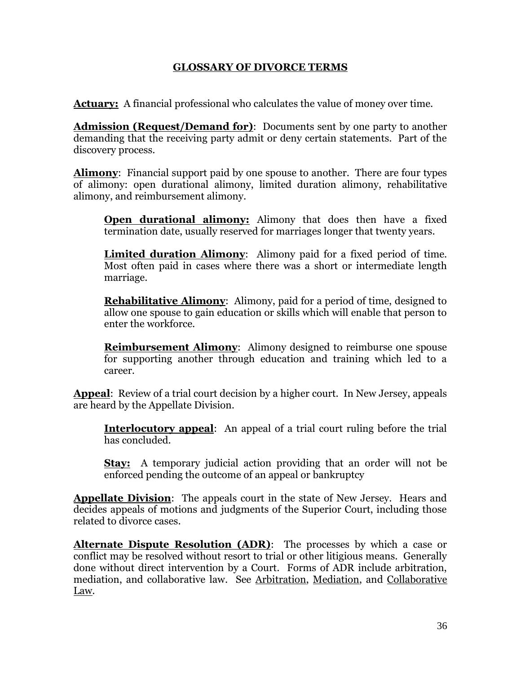# **GLOSSARY OF DIVORCE TERMS**

**Actuary:** A financial professional who calculates the value of money over time.

**Admission (Request/Demand for)**: Documents sent by one party to another demanding that the receiving party admit or deny certain statements. Part of the discovery process.

**Alimony**: Financial support paid by one spouse to another. There are four types of alimony: open durational alimony, limited duration alimony, rehabilitative alimony, and reimbursement alimony.

**Open durational alimony:** Alimony that does then have a fixed termination date, usually reserved for marriages longer that twenty years.

**Limited duration Alimony**: Alimony paid for a fixed period of time. Most often paid in cases where there was a short or intermediate length marriage.

**Rehabilitative Alimony**: Alimony, paid for a period of time, designed to allow one spouse to gain education or skills which will enable that person to enter the workforce.

**Reimbursement Alimony**: Alimony designed to reimburse one spouse for supporting another through education and training which led to a career.

**Appeal**: Review of a trial court decision by a higher court. In New Jersey, appeals are heard by the Appellate Division.

**Interlocutory appeal**: An appeal of a trial court ruling before the trial has concluded.

**Stay:** A temporary judicial action providing that an order will not be enforced pending the outcome of an appeal or bankruptcy

**Appellate Division**: The appeals court in the state of New Jersey. Hears and decides appeals of motions and judgments of the Superior Court, including those related to divorce cases.

**Alternate Dispute Resolution (ADR)**: The processes by which a case or conflict may be resolved without resort to trial or other litigious means. Generally done without direct intervention by a Court. Forms of ADR include arbitration, mediation, and collaborative law. See Arbitration, Mediation, and Collaborative Law.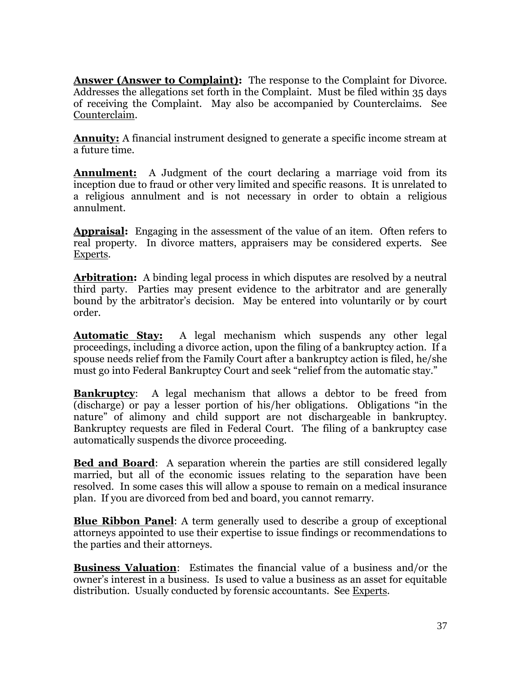**Answer (Answer to Complaint):** The response to the Complaint for Divorce. Addresses the allegations set forth in the Complaint. Must be filed within 35 days of receiving the Complaint. May also be accompanied by Counterclaims. See Counterclaim.

**Annuity:** A financial instrument designed to generate a specific income stream at a future time.

**Annulment:** A Judgment of the court declaring a marriage void from its inception due to fraud or other very limited and specific reasons. It is unrelated to a religious annulment and is not necessary in order to obtain a religious annulment.

**Appraisal:** Engaging in the assessment of the value of an item. Often refers to real property. In divorce matters, appraisers may be considered experts. See Experts.

**Arbitration:** A binding legal process in which disputes are resolved by a neutral third party. Parties may present evidence to the arbitrator and are generally bound by the arbitrator's decision. May be entered into voluntarily or by court order.

**Automatic Stay:** A legal mechanism which suspends any other legal proceedings, including a divorce action, upon the filing of a bankruptcy action. If a spouse needs relief from the Family Court after a bankruptcy action is filed, he/she must go into Federal Bankruptcy Court and seek "relief from the automatic stay."

**Bankruptcy:** A legal mechanism that allows a debtor to be freed from (discharge) or pay a lesser portion of his/her obligations. Obligations "in the nature" of alimony and child support are not dischargeable in bankruptcy. Bankruptcy requests are filed in Federal Court. The filing of a bankruptcy case automatically suspends the divorce proceeding.

**Bed and Board**: A separation wherein the parties are still considered legally married, but all of the economic issues relating to the separation have been resolved. In some cases this will allow a spouse to remain on a medical insurance plan. If you are divorced from bed and board, you cannot remarry.

**Blue Ribbon Panel**: A term generally used to describe a group of exceptional attorneys appointed to use their expertise to issue findings or recommendations to the parties and their attorneys.

**Business Valuation**: Estimates the financial value of a business and/or the owner's interest in a business. Is used to value a business as an asset for equitable distribution. Usually conducted by forensic accountants. See Experts.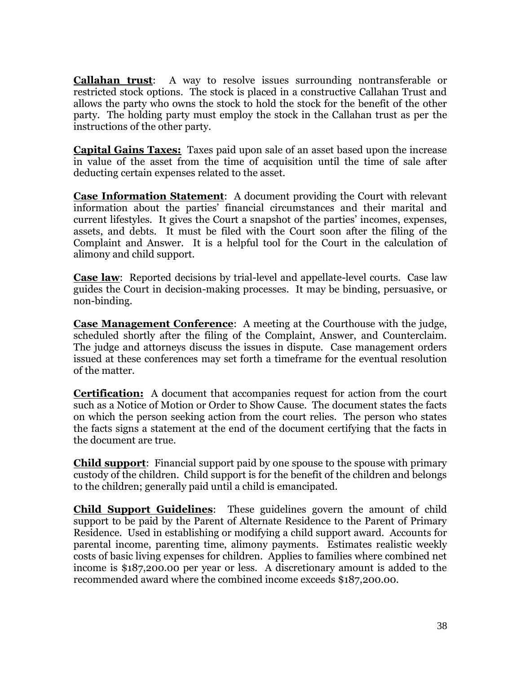**Callahan trust**: A way to resolve issues surrounding nontransferable or restricted stock options. The stock is placed in a constructive Callahan Trust and allows the party who owns the stock to hold the stock for the benefit of the other party. The holding party must employ the stock in the Callahan trust as per the instructions of the other party.

**Capital Gains Taxes:** Taxes paid upon sale of an asset based upon the increase in value of the asset from the time of acquisition until the time of sale after deducting certain expenses related to the asset.

**Case Information Statement**: A document providing the Court with relevant information about the parties' financial circumstances and their marital and current lifestyles. It gives the Court a snapshot of the parties' incomes, expenses, assets, and debts. It must be filed with the Court soon after the filing of the Complaint and Answer. It is a helpful tool for the Court in the calculation of alimony and child support.

**Case law**: Reported decisions by trial-level and appellate-level courts. Case law guides the Court in decision-making processes. It may be binding, persuasive, or non-binding.

**Case Management Conference**: A meeting at the Courthouse with the judge, scheduled shortly after the filing of the Complaint, Answer, and Counterclaim. The judge and attorneys discuss the issues in dispute. Case management orders issued at these conferences may set forth a timeframe for the eventual resolution of the matter.

**Certification:** A document that accompanies request for action from the court such as a Notice of Motion or Order to Show Cause. The document states the facts on which the person seeking action from the court relies. The person who states the facts signs a statement at the end of the document certifying that the facts in the document are true.

**Child support**: Financial support paid by one spouse to the spouse with primary custody of the children. Child support is for the benefit of the children and belongs to the children; generally paid until a child is emancipated.

**Child Support Guidelines**: These guidelines govern the amount of child support to be paid by the Parent of Alternate Residence to the Parent of Primary Residence. Used in establishing or modifying a child support award. Accounts for parental income, parenting time, alimony payments. Estimates realistic weekly costs of basic living expenses for children. Applies to families where combined net income is \$187,200.00 per year or less. A discretionary amount is added to the recommended award where the combined income exceeds \$187,200.00.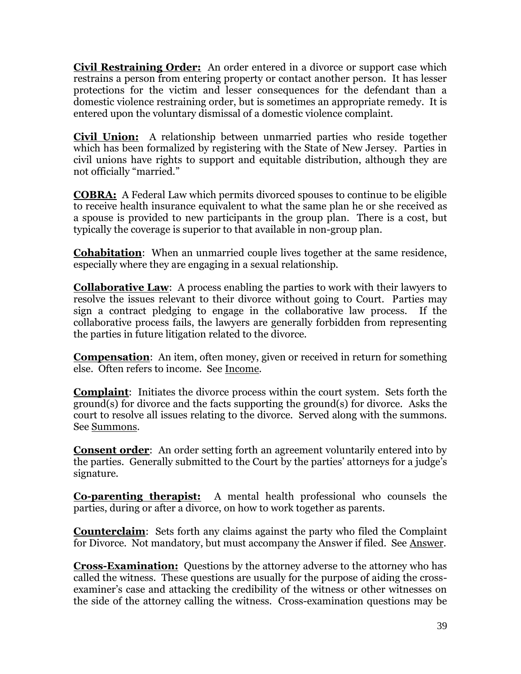**Civil Restraining Order:** An order entered in a divorce or support case which restrains a person from entering property or contact another person. It has lesser protections for the victim and lesser consequences for the defendant than a domestic violence restraining order, but is sometimes an appropriate remedy. It is entered upon the voluntary dismissal of a domestic violence complaint.

**Civil Union:** A relationship between unmarried parties who reside together which has been formalized by registering with the State of New Jersey. Parties in civil unions have rights to support and equitable distribution, although they are not officially "married."

**COBRA:** A Federal Law which permits divorced spouses to continue to be eligible to receive health insurance equivalent to what the same plan he or she received as a spouse is provided to new participants in the group plan. There is a cost, but typically the coverage is superior to that available in non-group plan.

**Cohabitation**: When an unmarried couple lives together at the same residence, especially where they are engaging in a sexual relationship.

**Collaborative Law**: A process enabling the parties to work with their lawyers to resolve the issues relevant to their divorce without going to Court. Parties may sign a contract pledging to engage in the collaborative law process. If the collaborative process fails, the lawyers are generally forbidden from representing the parties in future litigation related to the divorce.

**Compensation**: An item, often money, given or received in return for something else. Often refers to income. See Income.

**Complaint**: Initiates the divorce process within the court system. Sets forth the ground(s) for divorce and the facts supporting the ground(s) for divorce. Asks the court to resolve all issues relating to the divorce. Served along with the summons. See Summons.

**Consent order:** An order setting forth an agreement voluntarily entered into by the parties. Generally submitted to the Court by the parties' attorneys for a judge's signature.

**Co-parenting therapist:** A mental health professional who counsels the parties, during or after a divorce, on how to work together as parents.

**Counterclaim**: Sets forth any claims against the party who filed the Complaint for Divorce. Not mandatory, but must accompany the Answer if filed. See Answer.

**Cross-Examination:** Questions by the attorney adverse to the attorney who has called the witness. These questions are usually for the purpose of aiding the crossexaminer's case and attacking the credibility of the witness or other witnesses on the side of the attorney calling the witness. Cross-examination questions may be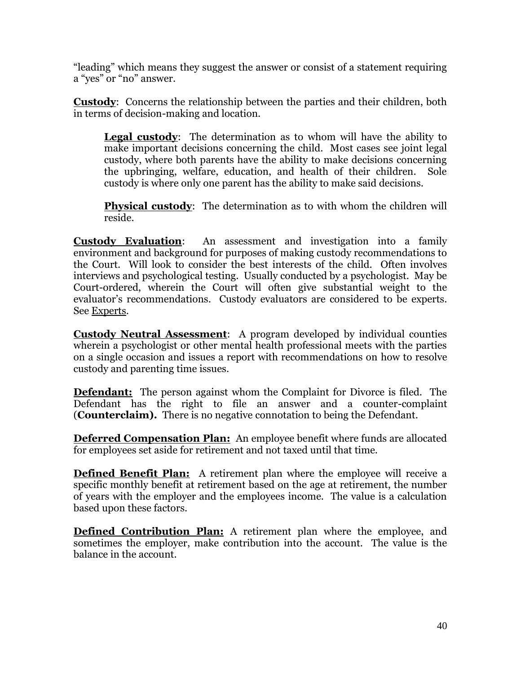"leading" which means they suggest the answer or consist of a statement requiring a "yes" or "no" answer.

**Custody**: Concerns the relationship between the parties and their children, both in terms of decision-making and location.

**Legal custody**: The determination as to whom will have the ability to make important decisions concerning the child. Most cases see joint legal custody, where both parents have the ability to make decisions concerning the upbringing, welfare, education, and health of their children. Sole custody is where only one parent has the ability to make said decisions.

**Physical custody**: The determination as to with whom the children will reside.

**Custody Evaluation**: An assessment and investigation into a family environment and background for purposes of making custody recommendations to the Court. Will look to consider the best interests of the child. Often involves interviews and psychological testing. Usually conducted by a psychologist. May be Court-ordered, wherein the Court will often give substantial weight to the evaluator's recommendations. Custody evaluators are considered to be experts. See Experts.

**Custody Neutral Assessment**: A program developed by individual counties wherein a psychologist or other mental health professional meets with the parties on a single occasion and issues a report with recommendations on how to resolve custody and parenting time issues.

**Defendant:** The person against whom the Complaint for Divorce is filed. The Defendant has the right to file an answer and a counter-complaint (**Counterclaim).** There is no negative connotation to being the Defendant.

**Deferred Compensation Plan:** An employee benefit where funds are allocated for employees set aside for retirement and not taxed until that time.

**Defined Benefit Plan:** A retirement plan where the employee will receive a specific monthly benefit at retirement based on the age at retirement, the number of years with the employer and the employees income. The value is a calculation based upon these factors.

**Defined Contribution Plan:** A retirement plan where the employee, and sometimes the employer, make contribution into the account. The value is the balance in the account.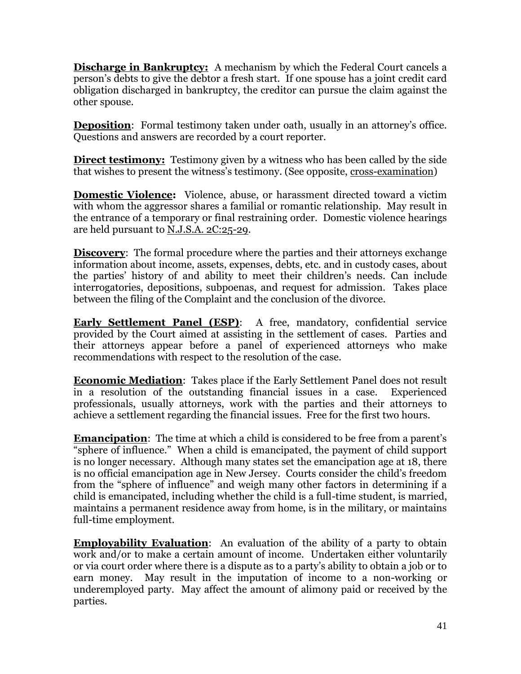**Discharge in Bankruptcy:** A mechanism by which the Federal Court cancels a person's debts to give the debtor a fresh start. If one spouse has a joint credit card obligation discharged in bankruptcy, the creditor can pursue the claim against the other spouse.

**Deposition**: Formal testimony taken under oath, usually in an attorney's office. Questions and answers are recorded by a court reporter.

**Direct testimony:** Testimony given by a witness who has been called by the side that wishes to present the witness's testimony. (See opposite, cross-examination)

**Domestic Violence:**Violence, abuse, or harassment directed toward a victim with whom the aggressor shares a familial or romantic relationship. May result in the entrance of a temporary or final restraining order. Domestic violence hearings are held pursuant to N.J.S.A. 2C:25-29.

**Discovery:** The formal procedure where the parties and their attorneys exchange information about income, assets, expenses, debts, etc. and in custody cases, about the parties' history of and ability to meet their children's needs. Can include interrogatories, depositions, subpoenas, and request for admission. Takes place between the filing of the Complaint and the conclusion of the divorce.

**Early Settlement Panel (ESP):** A free, mandatory, confidential service provided by the Court aimed at assisting in the settlement of cases. Parties and their attorneys appear before a panel of experienced attorneys who make recommendations with respect to the resolution of the case.

**Economic Mediation**: Takes place if the Early Settlement Panel does not result in a resolution of the outstanding financial issues in a case. Experienced professionals, usually attorneys, work with the parties and their attorneys to achieve a settlement regarding the financial issues. Free for the first two hours.

**Emancipation**: The time at which a child is considered to be free from a parent's "sphere of influence." When a child is emancipated, the payment of child support is no longer necessary. Although many states set the emancipation age at 18, there is no official emancipation age in New Jersey. Courts consider the child's freedom from the "sphere of influence" and weigh many other factors in determining if a child is emancipated, including whether the child is a full-time student, is married, maintains a permanent residence away from home, is in the military, or maintains full-time employment.

**Employability Evaluation**: An evaluation of the ability of a party to obtain work and/or to make a certain amount of income. Undertaken either voluntarily or via court order where there is a dispute as to a party's ability to obtain a job or to earn money. May result in the imputation of income to a non-working or underemployed party. May affect the amount of alimony paid or received by the parties.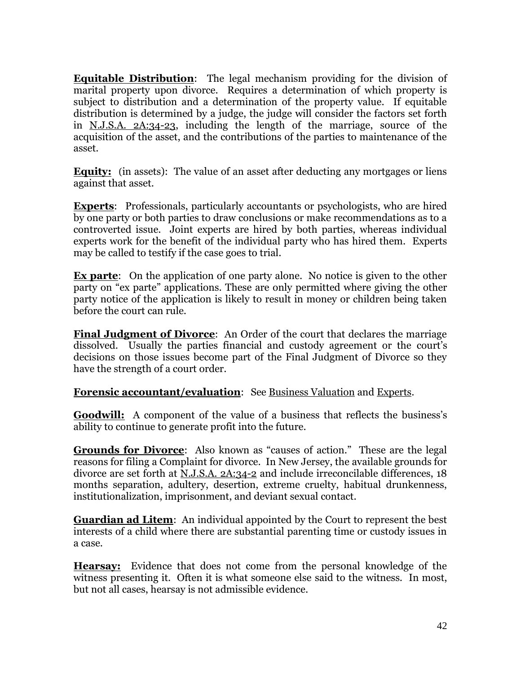**Equitable Distribution**: The legal mechanism providing for the division of marital property upon divorce. Requires a determination of which property is subject to distribution and a determination of the property value. If equitable distribution is determined by a judge, the judge will consider the factors set forth in N.J.S.A. 2A:34-23, including the length of the marriage, source of the acquisition of the asset, and the contributions of the parties to maintenance of the asset.

**Equity:** (in assets): The value of an asset after deducting any mortgages or liens against that asset.

**Experts**: Professionals, particularly accountants or psychologists, who are hired by one party or both parties to draw conclusions or make recommendations as to a controverted issue. Joint experts are hired by both parties, whereas individual experts work for the benefit of the individual party who has hired them. Experts may be called to testify if the case goes to trial.

**Ex parte**: On the application of one party alone. No notice is given to the other party on "ex parte" applications. These are only permitted where giving the other party notice of the application is likely to result in money or children being taken before the court can rule.

**Final Judgment of Divorce**: An Order of the court that declares the marriage dissolved. Usually the parties financial and custody agreement or the court's decisions on those issues become part of the Final Judgment of Divorce so they have the strength of a court order.

# **Forensic accountant/evaluation:** See Business Valuation and Experts.

**Goodwill:** A component of the value of a business that reflects the business's ability to continue to generate profit into the future.

**Grounds for Divorce**: Also known as "causes of action." These are the legal reasons for filing a Complaint for divorce. In New Jersey, the available grounds for divorce are set forth at N.J.S.A. 2A:34-2 and include irreconcilable differences, 18 months separation, adultery, desertion, extreme cruelty, habitual drunkenness, institutionalization, imprisonment, and deviant sexual contact.

**Guardian ad Litem**: An individual appointed by the Court to represent the best interests of a child where there are substantial parenting time or custody issues in a case.

**Hearsay:** Evidence that does not come from the personal knowledge of the witness presenting it. Often it is what someone else said to the witness. In most, but not all cases, hearsay is not admissible evidence.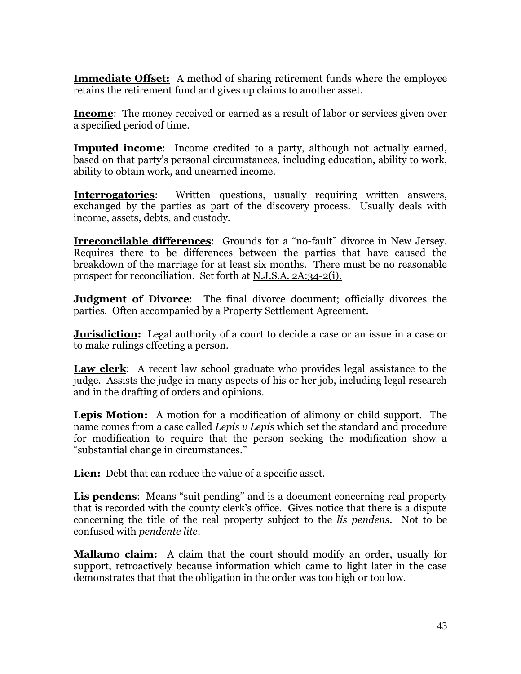**Immediate Offset:** A method of sharing retirement funds where the employee retains the retirement fund and gives up claims to another asset.

**Income**: The money received or earned as a result of labor or services given over a specified period of time.

**Imputed income**: Income credited to a party, although not actually earned, based on that party's personal circumstances, including education, ability to work, ability to obtain work, and unearned income.

**Interrogatories:** Written questions, usually requiring written answers, exchanged by the parties as part of the discovery process. Usually deals with income, assets, debts, and custody.

**Irreconcilable differences**: Grounds for a "no-fault" divorce in New Jersey. Requires there to be differences between the parties that have caused the breakdown of the marriage for at least six months. There must be no reasonable prospect for reconciliation. Set forth at N.J.S.A. 2A:34-2(i).

**Judgment of Divorce**: The final divorce document; officially divorces the parties. Often accompanied by a Property Settlement Agreement.

**Jurisdiction:** Legal authority of a court to decide a case or an issue in a case or to make rulings effecting a person.

**Law clerk**: A recent law school graduate who provides legal assistance to the judge. Assists the judge in many aspects of his or her job, including legal research and in the drafting of orders and opinions.

**Lepis Motion:** A motion for a modification of alimony or child support. The name comes from a case called *Lepis v Lepis* which set the standard and procedure for modification to require that the person seeking the modification show a "substantial change in circumstances."

**Lien:** Debt that can reduce the value of a specific asset.

**Lis pendens**: Means "suit pending" and is a document concerning real property that is recorded with the county clerk's office. Gives notice that there is a dispute concerning the title of the real property subject to the *lis pendens*. Not to be confused with *pendente lite*.

**Mallamo claim:** A claim that the court should modify an order, usually for support, retroactively because information which came to light later in the case demonstrates that that the obligation in the order was too high or too low.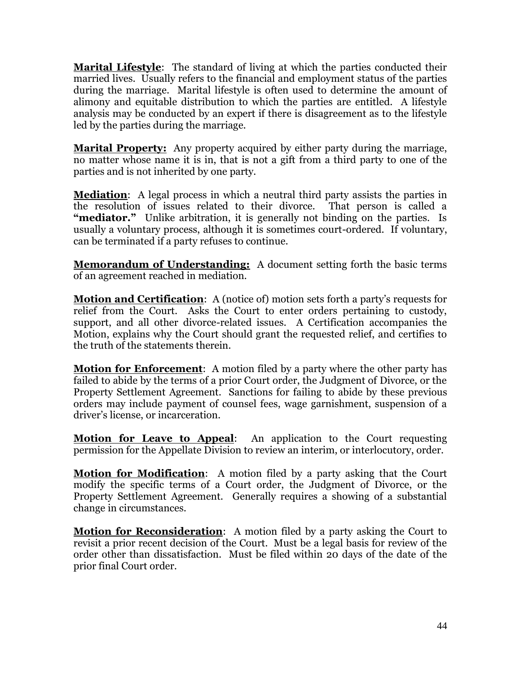**Marital Lifestyle**: The standard of living at which the parties conducted their married lives. Usually refers to the financial and employment status of the parties during the marriage. Marital lifestyle is often used to determine the amount of alimony and equitable distribution to which the parties are entitled. A lifestyle analysis may be conducted by an expert if there is disagreement as to the lifestyle led by the parties during the marriage.

**Marital Property:** Any property acquired by either party during the marriage, no matter whose name it is in, that is not a gift from a third party to one of the parties and is not inherited by one party.

**Mediation**: A legal process in which a neutral third party assists the parties in the resolution of issues related to their divorce. That person is called a "mediator." Unlike arbitration, it is generally not binding on the parties. Is usually a voluntary process, although it is sometimes court-ordered. If voluntary, can be terminated if a party refuses to continue.

**Memorandum of Understanding:** A document setting forth the basic terms of an agreement reached in mediation.

**Motion and Certification**: A (notice of) motion sets forth a party's requests for relief from the Court. Asks the Court to enter orders pertaining to custody, support, and all other divorce-related issues. A Certification accompanies the Motion, explains why the Court should grant the requested relief, and certifies to the truth of the statements therein.

**Motion for Enforcement**: A motion filed by a party where the other party has failed to abide by the terms of a prior Court order, the Judgment of Divorce, or the Property Settlement Agreement. Sanctions for failing to abide by these previous orders may include payment of counsel fees, wage garnishment, suspension of a driver's license, or incarceration.

**Motion for Leave to Appeal**: An application to the Court requesting permission for the Appellate Division to review an interim, or interlocutory, order.

**Motion for Modification**: A motion filed by a party asking that the Court modify the specific terms of a Court order, the Judgment of Divorce, or the Property Settlement Agreement. Generally requires a showing of a substantial change in circumstances.

**Motion for Reconsideration**: A motion filed by a party asking the Court to revisit a prior recent decision of the Court. Must be a legal basis for review of the order other than dissatisfaction. Must be filed within 20 days of the date of the prior final Court order.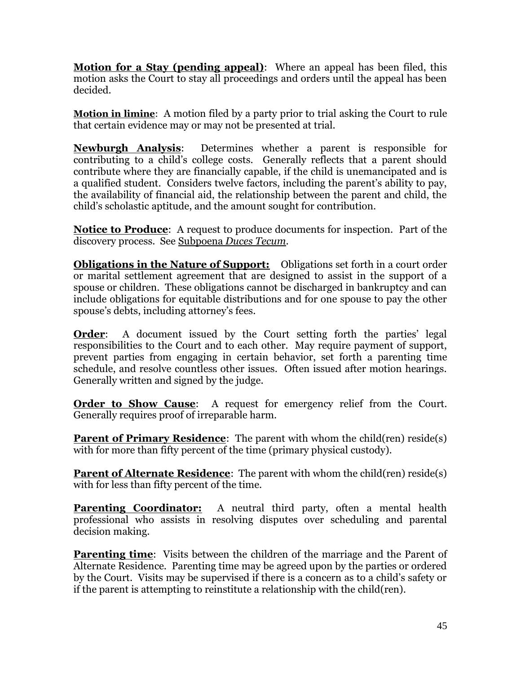**Motion for a Stay (pending appeal)**: Where an appeal has been filed, this motion asks the Court to stay all proceedings and orders until the appeal has been decided.

**Motion in limine**: A motion filed by a party prior to trial asking the Court to rule that certain evidence may or may not be presented at trial.

**Newburgh Analysis**: Determines whether a parent is responsible for contributing to a child's college costs. Generally reflects that a parent should contribute where they are financially capable, if the child is unemancipated and is a qualified student. Considers twelve factors, including the parent's ability to pay, the availability of financial aid, the relationship between the parent and child, the child's scholastic aptitude, and the amount sought for contribution.

**Notice to Produce**: A request to produce documents for inspection. Part of the discovery process. See Subpoena *Duces Tecum*.

**Obligations in the Nature of Support:** Obligations set forth in a court order or marital settlement agreement that are designed to assist in the support of a spouse or children. These obligations cannot be discharged in bankruptcy and can include obligations for equitable distributions and for one spouse to pay the other spouse's debts, including attorney's fees.

**Order:** A document issued by the Court setting forth the parties' legal responsibilities to the Court and to each other. May require payment of support, prevent parties from engaging in certain behavior, set forth a parenting time schedule, and resolve countless other issues. Often issued after motion hearings. Generally written and signed by the judge.

**Order to Show Cause:** A request for emergency relief from the Court. Generally requires proof of irreparable harm.

**Parent of Primary Residence**: The parent with whom the child(ren) reside(s) with for more than fifty percent of the time (primary physical custody).

**Parent of Alternate Residence**: The parent with whom the child(ren) reside(s) with for less than fifty percent of the time.

**Parenting Coordinator:** A neutral third party, often a mental health professional who assists in resolving disputes over scheduling and parental decision making.

**Parenting time**: Visits between the children of the marriage and the Parent of Alternate Residence. Parenting time may be agreed upon by the parties or ordered by the Court. Visits may be supervised if there is a concern as to a child's safety or if the parent is attempting to reinstitute a relationship with the child(ren).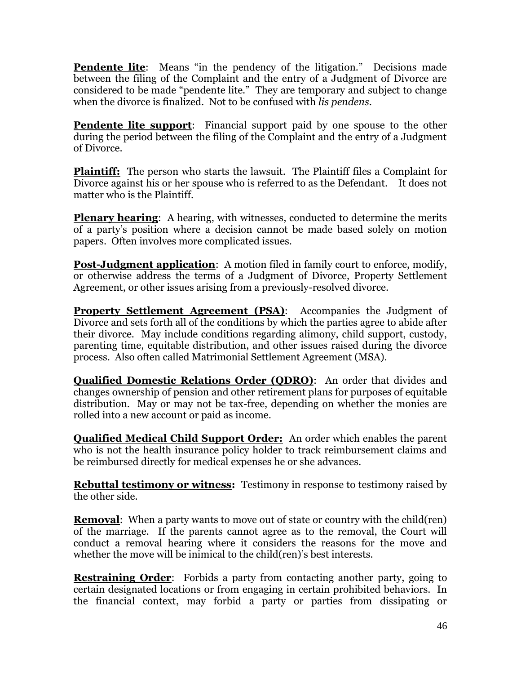**Pendente lite**: Means "in the pendency of the litigation." Decisions made between the filing of the Complaint and the entry of a Judgment of Divorce are considered to be made "pendente lite." They are temporary and subject to change when the divorce is finalized. Not to be confused with *lis pendens*.

**Pendente lite support:** Financial support paid by one spouse to the other during the period between the filing of the Complaint and the entry of a Judgment of Divorce.

**Plaintiff:** The person who starts the lawsuit. The Plaintiff files a Complaint for Divorce against his or her spouse who is referred to as the Defendant. It does not matter who is the Plaintiff.

**Plenary hearing:** A hearing, with witnesses, conducted to determine the merits of a party's position where a decision cannot be made based solely on motion papers. Often involves more complicated issues.

**Post-Judgment application**: A motion filed in family court to enforce, modify, or otherwise address the terms of a Judgment of Divorce, Property Settlement Agreement, or other issues arising from a previously-resolved divorce.

**Property Settlement Agreement (PSA)**: Accompanies the Judgment of Divorce and sets forth all of the conditions by which the parties agree to abide after their divorce. May include conditions regarding alimony, child support, custody, parenting time, equitable distribution, and other issues raised during the divorce process. Also often called Matrimonial Settlement Agreement (MSA).

**Qualified Domestic Relations Order (QDRO)**: An order that divides and changes ownership of pension and other retirement plans for purposes of equitable distribution. May or may not be tax-free, depending on whether the monies are rolled into a new account or paid as income.

**Qualified Medical Child Support Order:** An order which enables the parent who is not the health insurance policy holder to track reimbursement claims and be reimbursed directly for medical expenses he or she advances.

**Rebuttal testimony or witness:** Testimony in response to testimony raised by the other side.

**Removal:** When a party wants to move out of state or country with the child(ren) of the marriage. If the parents cannot agree as to the removal, the Court will conduct a removal hearing where it considers the reasons for the move and whether the move will be inimical to the child(ren)'s best interests.

**Restraining Order**: Forbids a party from contacting another party, going to certain designated locations or from engaging in certain prohibited behaviors. In the financial context, may forbid a party or parties from dissipating or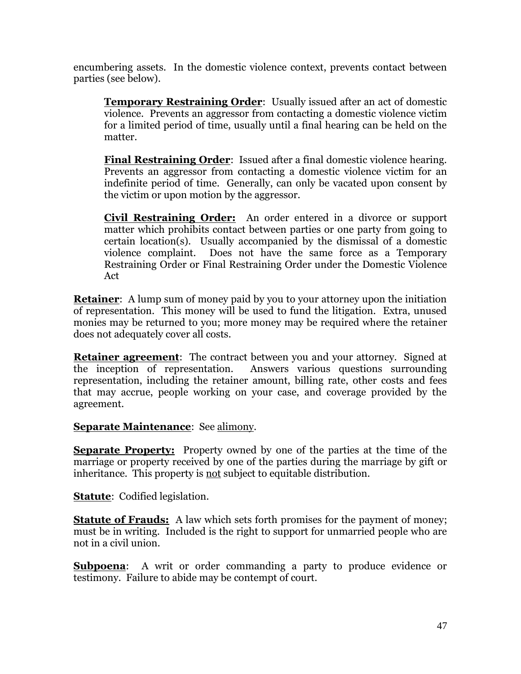encumbering assets. In the domestic violence context, prevents contact between parties (see below).

**Temporary Restraining Order**: Usually issued after an act of domestic violence. Prevents an aggressor from contacting a domestic violence victim for a limited period of time, usually until a final hearing can be held on the matter.

**Final Restraining Order**: Issued after a final domestic violence hearing. Prevents an aggressor from contacting a domestic violence victim for an indefinite period of time. Generally, can only be vacated upon consent by the victim or upon motion by the aggressor.

**Civil Restraining Order:** An order entered in a divorce or support matter which prohibits contact between parties or one party from going to certain location(s). Usually accompanied by the dismissal of a domestic violence complaint. Does not have the same force as a Temporary Restraining Order or Final Restraining Order under the Domestic Violence Act

**Retainer:** A lump sum of money paid by you to your attorney upon the initiation of representation. This money will be used to fund the litigation. Extra, unused monies may be returned to you; more money may be required where the retainer does not adequately cover all costs.

**Retainer agreement**: The contract between you and your attorney. Signed at the inception of representation. Answers various questions surrounding representation, including the retainer amount, billing rate, other costs and fees that may accrue, people working on your case, and coverage provided by the agreement.

# **Separate Maintenance**: See alimony.

**Separate Property:** Property owned by one of the parties at the time of the marriage or property received by one of the parties during the marriage by gift or inheritance. This property is not subject to equitable distribution.

**Statute**: Codified legislation.

**Statute of Frauds:** A law which sets forth promises for the payment of money; must be in writing. Included is the right to support for unmarried people who are not in a civil union.

**Subpoena:** A writ or order commanding a party to produce evidence or testimony. Failure to abide may be contempt of court.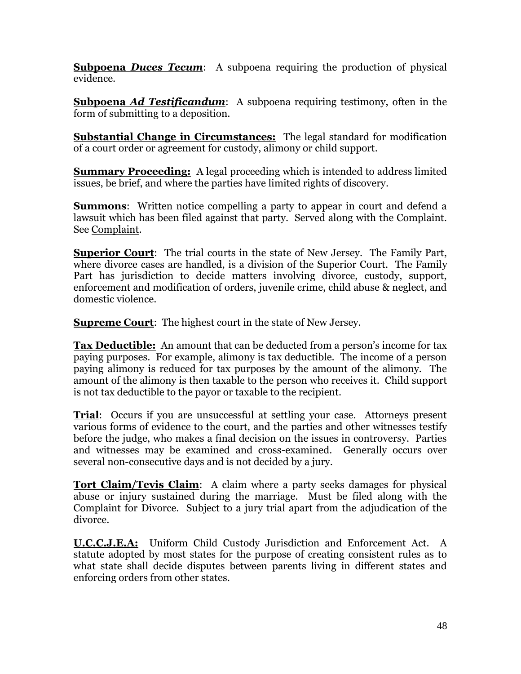**Subpoena** *Duces Tecum*: A subpoena requiring the production of physical evidence.

**Subpoena** *Ad Testificandum*: A subpoena requiring testimony, often in the form of submitting to a deposition.

**Substantial Change in Circumstances:** The legal standard for modification of a court order or agreement for custody, alimony or child support.

**Summary Proceeding:** A legal proceeding which is intended to address limited issues, be brief, and where the parties have limited rights of discovery.

**Summons:** Written notice compelling a party to appear in court and defend a lawsuit which has been filed against that party. Served along with the Complaint. See Complaint.

**Superior Court**: The trial courts in the state of New Jersey. The Family Part, where divorce cases are handled, is a division of the Superior Court. The Family Part has jurisdiction to decide matters involving divorce, custody, support, enforcement and modification of orders, juvenile crime, child abuse & neglect, and domestic violence.

**Supreme Court:** The highest court in the state of New Jersey.

**Tax Deductible:** An amount that can be deducted from a person's income for tax paying purposes. For example, alimony is tax deductible. The income of a person paying alimony is reduced for tax purposes by the amount of the alimony. The amount of the alimony is then taxable to the person who receives it. Child support is not tax deductible to the payor or taxable to the recipient.

**Trial**: Occurs if you are unsuccessful at settling your case. Attorneys present various forms of evidence to the court, and the parties and other witnesses testify before the judge, who makes a final decision on the issues in controversy. Parties and witnesses may be examined and cross-examined. Generally occurs over several non-consecutive days and is not decided by a jury.

**Tort Claim/Tevis Claim**: A claim where a party seeks damages for physical abuse or injury sustained during the marriage. Must be filed along with the Complaint for Divorce. Subject to a jury trial apart from the adjudication of the divorce.

**U.C.C.J.E.A:** Uniform Child Custody Jurisdiction and Enforcement Act. A statute adopted by most states for the purpose of creating consistent rules as to what state shall decide disputes between parents living in different states and enforcing orders from other states.